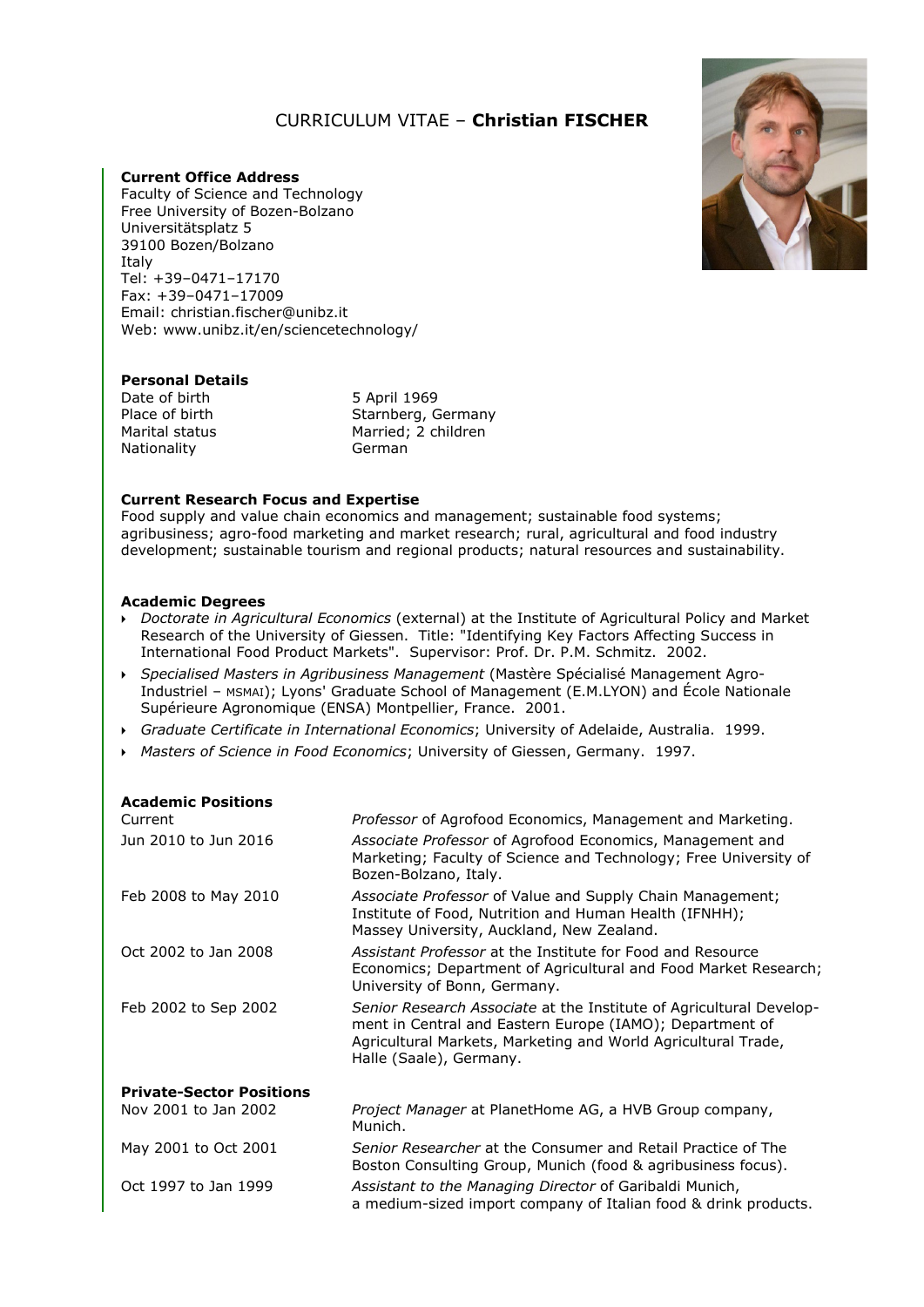## *0B*CURRICULUM VITAE – **Christian FISCHER**

### **Current Office Address**

Faculty of Science and Technology Free University of Bozen-Bolzano Universitätsplatz 5 39100 Bozen/Bolzano Italy Tel: +39–0471–17170 Fax: +39–0471–17009 Email: christian.fischer@unibz.it Web: www.unibz.it/en/sciencetechnology/



# **Personal Details**<br>Date of birth

Date of birth 5 April 1969<br>Place of birth 5 Starnberg, G Nationality

Place of birth Starnberg, Germany<br>
Marital status Married; 2 children Married; 2 children<br>German

## **Current Research Focus and Expertise**

Food supply and value chain economics and management; sustainable food systems; agribusiness; agro-food marketing and market research; rural, agricultural and food industry development; sustainable tourism and regional products; natural resources and sustainability.

#### **Academic Degrees**

- *Doctorate in Agricultural Economics* (external) at the Institute of Agricultural Policy and Market Research of the University of Giessen. Title: "Identifying Key Factors Affecting Success in International Food Product Markets". Supervisor: Prof. Dr. P.M. Schmitz. 2002.
- *Specialised Masters in Agribusiness Management* (Mastère Spécialisé Management Agro-Industriel – MSMAI); Lyons' Graduate School of Management (E.M.LYON) and École Nationale Supérieure Agronomique (ENSA) Montpellier, France. 2001.
- *Graduate Certificate in International Economics*; University of Adelaide, Australia. 1999.
- *Masters of Science in Food Economics*; University of Giessen, Germany. 1997.

| <b>Academic Positions</b><br>Current | Professor of Agrofood Economics, Management and Marketing.                                                                                                                                                                  |
|--------------------------------------|-----------------------------------------------------------------------------------------------------------------------------------------------------------------------------------------------------------------------------|
| Jun 2010 to Jun 2016                 | Associate Professor of Agrofood Economics, Management and<br>Marketing; Faculty of Science and Technology; Free University of<br>Bozen-Bolzano, Italy.                                                                      |
| Feb 2008 to May 2010                 | Associate Professor of Value and Supply Chain Management;<br>Institute of Food, Nutrition and Human Health (IFNHH);<br>Massey University, Auckland, New Zealand.                                                            |
| Oct 2002 to Jan 2008                 | Assistant Professor at the Institute for Food and Resource<br>Economics; Department of Agricultural and Food Market Research;<br>University of Bonn, Germany.                                                               |
| Feb 2002 to Sep 2002                 | Senior Research Associate at the Institute of Agricultural Develop-<br>ment in Central and Eastern Europe (IAMO); Department of<br>Agricultural Markets, Marketing and World Agricultural Trade,<br>Halle (Saale), Germany. |
| <b>Private-Sector Positions</b>      |                                                                                                                                                                                                                             |
| Nov 2001 to Jan 2002                 | Project Manager at PlanetHome AG, a HVB Group company,<br>Munich.                                                                                                                                                           |
| May 2001 to Oct 2001                 | Senior Researcher at the Consumer and Retail Practice of The<br>Boston Consulting Group, Munich (food & agribusiness focus).                                                                                                |
| Oct 1997 to Jan 1999                 | Assistant to the Managing Director of Garibaldi Munich,<br>a medium-sized import company of Italian food & drink products.                                                                                                  |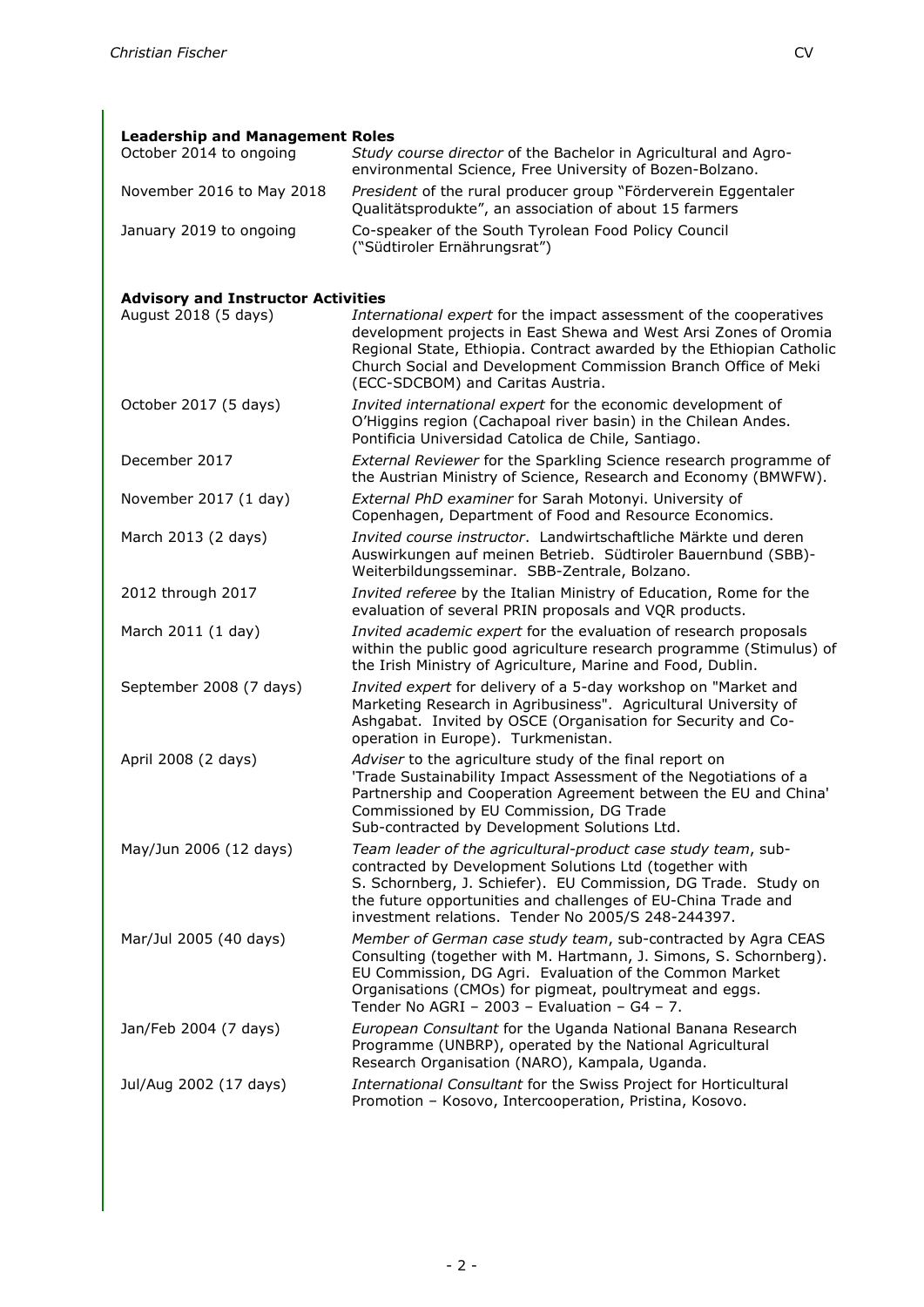| <b>Leadership and Management Roles</b>    |                                                                                                                                                                                                                                                                                                                       |  |
|-------------------------------------------|-----------------------------------------------------------------------------------------------------------------------------------------------------------------------------------------------------------------------------------------------------------------------------------------------------------------------|--|
| October 2014 to ongoing                   | Study course director of the Bachelor in Agricultural and Agro-<br>environmental Science, Free University of Bozen-Bolzano.                                                                                                                                                                                           |  |
| November 2016 to May 2018                 | President of the rural producer group "Förderverein Eggentaler<br>Qualitätsprodukte", an association of about 15 farmers                                                                                                                                                                                              |  |
| January 2019 to ongoing                   | Co-speaker of the South Tyrolean Food Policy Council<br>("Südtiroler Ernährungsrat")                                                                                                                                                                                                                                  |  |
| <b>Advisory and Instructor Activities</b> |                                                                                                                                                                                                                                                                                                                       |  |
| August 2018 (5 days)                      | International expert for the impact assessment of the cooperatives<br>development projects in East Shewa and West Arsi Zones of Oromia<br>Regional State, Ethiopia. Contract awarded by the Ethiopian Catholic<br>Church Social and Development Commission Branch Office of Meki<br>(ECC-SDCBOM) and Caritas Austria. |  |
| October 2017 (5 days)                     | Invited international expert for the economic development of<br>O'Higgins region (Cachapoal river basin) in the Chilean Andes.<br>Pontificia Universidad Catolica de Chile, Santiago.                                                                                                                                 |  |
| December 2017                             | External Reviewer for the Sparkling Science research programme of<br>the Austrian Ministry of Science, Research and Economy (BMWFW).                                                                                                                                                                                  |  |
| November 2017 (1 day)                     | External PhD examiner for Sarah Motonyi. University of<br>Copenhagen, Department of Food and Resource Economics.                                                                                                                                                                                                      |  |
| March 2013 (2 days)                       | Invited course instructor. Landwirtschaftliche Märkte und deren<br>Auswirkungen auf meinen Betrieb. Südtiroler Bauernbund (SBB)-<br>Weiterbildungsseminar. SBB-Zentrale, Bolzano.                                                                                                                                     |  |
| 2012 through 2017                         | Invited referee by the Italian Ministry of Education, Rome for the<br>evaluation of several PRIN proposals and VQR products.                                                                                                                                                                                          |  |
| March 2011 (1 day)                        | Invited academic expert for the evaluation of research proposals<br>within the public good agriculture research programme (Stimulus) of<br>the Irish Ministry of Agriculture, Marine and Food, Dublin.                                                                                                                |  |
| September 2008 (7 days)                   | Invited expert for delivery of a 5-day workshop on "Market and<br>Marketing Research in Agribusiness". Agricultural University of<br>Ashgabat. Invited by OSCE (Organisation for Security and Co-<br>operation in Europe). Turkmenistan.                                                                              |  |
| April 2008 (2 days)                       | Adviser to the agriculture study of the final report on<br>'Trade Sustainability Impact Assessment of the Negotiations of a<br>Partnership and Cooperation Agreement between the EU and China'<br>Commissioned by EU Commission, DG Trade<br>Sub-contracted by Development Solutions Ltd.                             |  |
| May/Jun 2006 (12 days)                    | Team leader of the agricultural-product case study team, sub-<br>contracted by Development Solutions Ltd (together with<br>S. Schornberg, J. Schiefer). EU Commission, DG Trade. Study on<br>the future opportunities and challenges of EU-China Trade and<br>investment relations. Tender No 2005/S 248-244397.      |  |
| Mar/Jul 2005 (40 days)                    | Member of German case study team, sub-contracted by Agra CEAS<br>Consulting (together with M. Hartmann, J. Simons, S. Schornberg).<br>EU Commission, DG Agri. Evaluation of the Common Market<br>Organisations (CMOs) for pigmeat, poultrymeat and eggs.<br>Tender No AGRI - 2003 - Evaluation - G4 - 7.              |  |
| Jan/Feb 2004 (7 days)                     | European Consultant for the Uganda National Banana Research<br>Programme (UNBRP), operated by the National Agricultural<br>Research Organisation (NARO), Kampala, Uganda.                                                                                                                                             |  |
| Jul/Aug 2002 (17 days)                    | International Consultant for the Swiss Project for Horticultural<br>Promotion - Kosovo, Intercooperation, Pristina, Kosovo.                                                                                                                                                                                           |  |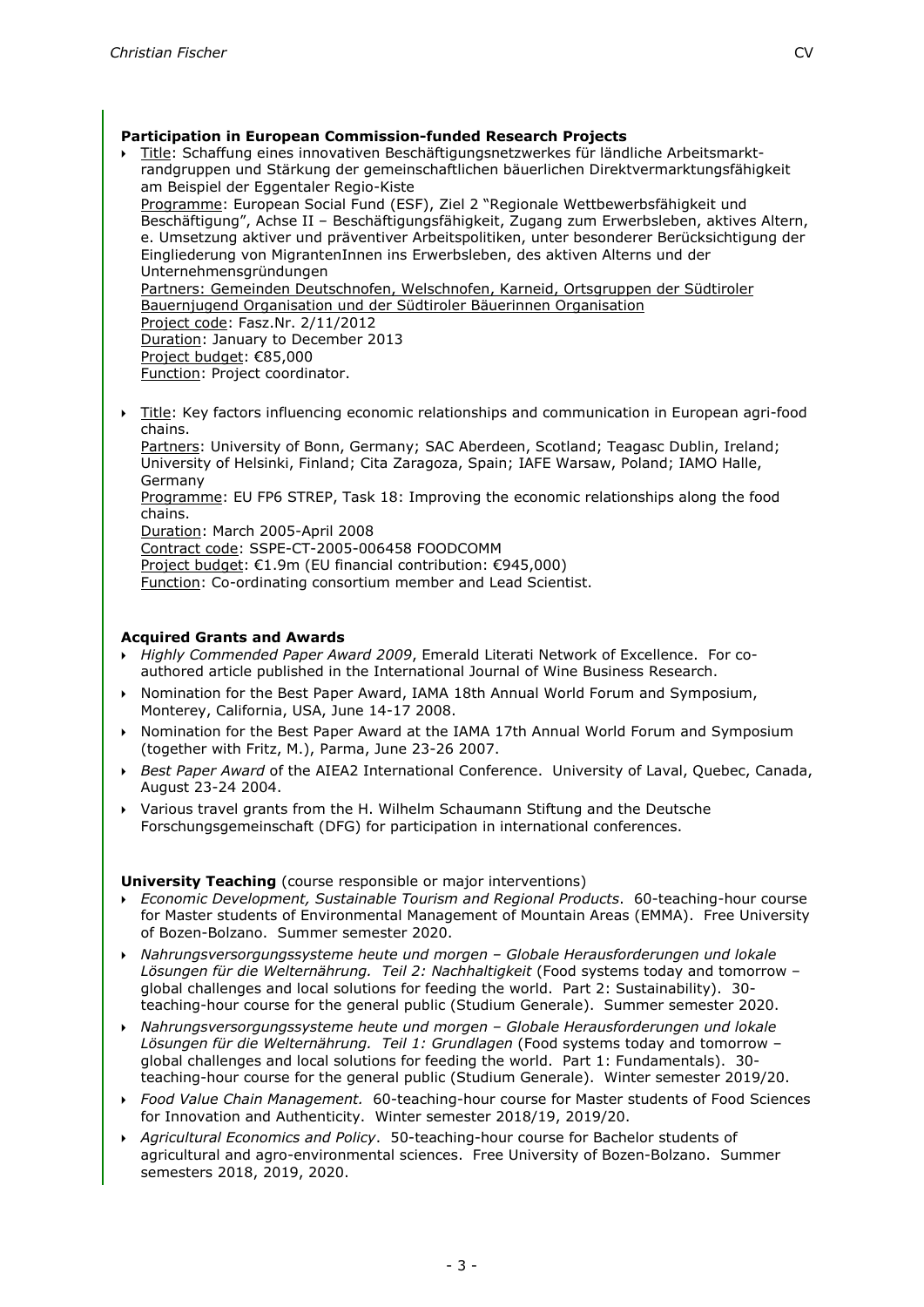- Title: Schaffung eines innovativen Beschäftigungsnetzwerkes für ländliche Arbeitsmarktrandgruppen und Stärkung der gemeinschaftlichen bäuerlichen Direktvermarktungsfähigkeit am Beispiel der Eggentaler Regio-Kiste Programme: European Social Fund (ESF), Ziel 2 "Regionale Wettbewerbsfähigkeit und Beschäftigung", Achse II – Beschäftigungsfähigkeit, Zugang zum Erwerbsleben, aktives Altern, e. Umsetzung aktiver und präventiver Arbeitspolitiken, unter besonderer Berücksichtigung der Eingliederung von MigrantenInnen ins Erwerbsleben, des aktiven Alterns und der Unternehmensgründungen Partners: Gemeinden Deutschnofen, Welschnofen, Karneid, Ortsgruppen der Südtiroler Bauernjugend Organisation und der Südtiroler Bäuerinnen Organisation Project code: Fasz.Nr. 2/11/2012 Duration: January to December 2013 Project budget: €85,000 Function: Project coordinator.
- Title: Key factors influencing economic relationships and communication in European agri-food chains.

Partners: University of Bonn, Germany; SAC Aberdeen, Scotland; Teagasc Dublin, Ireland; University of Helsinki, Finland; Cita Zaragoza, Spain; IAFE Warsaw, Poland; IAMO Halle, Germany

Programme: EU FP6 STREP, Task 18: Improving the economic relationships along the food chains.

Duration: March 2005-April 2008

Contract code: SSPE-CT-2005-006458 FOODCOMM

Project budget: €1.9m (EU financial contribution: €945,000)

Function: Co-ordinating consortium member and Lead Scientist.

## **Acquired Grants and Awards**

- *Highly Commended Paper Award 2009*, Emerald Literati Network of Excellence. For coauthored article published in the International Journal of Wine Business Research.
- Nomination for the Best Paper Award, IAMA 18th Annual World Forum and Symposium, Monterey, California, USA, June 14-17 2008.
- Nomination for the Best Paper Award at the IAMA 17th Annual World Forum and Symposium (together with Fritz, M.), Parma, June 23-26 2007.
- *Best Paper Award* of the AIEA2 International Conference. University of Laval, Quebec, Canada, August 23-24 2004.
- Various travel grants from the H. Wilhelm Schaumann Stiftung and the Deutsche Forschungsgemeinschaft (DFG) for participation in international conferences.

**University Teaching** (course responsible or major interventions)

- *Economic Development, Sustainable Tourism and Regional Products*. 60-teaching-hour course for Master students of Environmental Management of Mountain Areas (EMMA). Free University of Bozen-Bolzano. Summer semester 2020.
- *Nahrungsversorgungssysteme heute und morgen – Globale Herausforderungen und lokale Lösungen für die Welternährung. Teil 2: Nachhaltigkeit* (Food systems today and tomorrow – global challenges and local solutions for feeding the world. Part 2: Sustainability). 30 teaching-hour course for the general public (Studium Generale). Summer semester 2020.
- *Nahrungsversorgungssysteme heute und morgen – Globale Herausforderungen und lokale Lösungen für die Welternährung. Teil 1: Grundlagen* (Food systems today and tomorrow – global challenges and local solutions for feeding the world. Part 1: Fundamentals). 30 teaching-hour course for the general public (Studium Generale). Winter semester 2019/20.
- *Food Value Chain Management.* 60-teaching-hour course for Master students of Food Sciences for Innovation and Authenticity. Winter semester 2018/19, 2019/20.
- *Agricultural Economics and Policy*. 50-teaching-hour course for Bachelor students of agricultural and agro-environmental sciences. Free University of Bozen-Bolzano. Summer semesters 2018, 2019, 2020.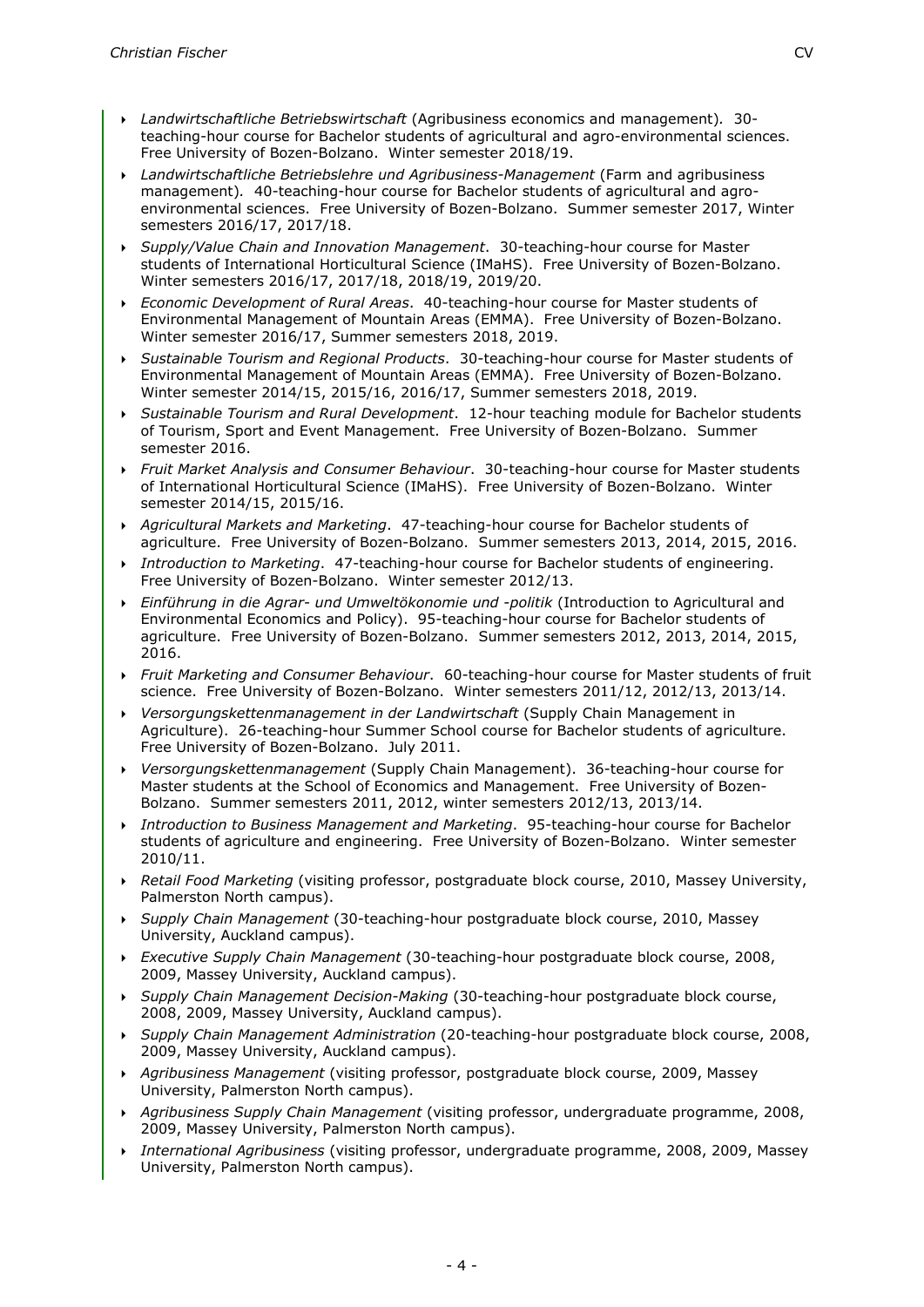- *Landwirtschaftliche Betriebswirtschaft* (Agribusiness economics and management)*.* 30 teaching-hour course for Bachelor students of agricultural and agro-environmental sciences. Free University of Bozen-Bolzano. Winter semester 2018/19.
- *Landwirtschaftliche Betriebslehre und Agribusiness-Management* (Farm and agribusiness management)*.* 40-teaching-hour course for Bachelor students of agricultural and agroenvironmental sciences. Free University of Bozen-Bolzano. Summer semester 2017, Winter semesters 2016/17, 2017/18.
- *Supply/Value Chain and Innovation Management*. 30-teaching-hour course for Master students of International Horticultural Science (IMaHS). Free University of Bozen-Bolzano. Winter semesters 2016/17, 2017/18, 2018/19, 2019/20.
- *Economic Development of Rural Areas*. 40-teaching-hour course for Master students of Environmental Management of Mountain Areas (EMMA). Free University of Bozen-Bolzano. Winter semester 2016/17, Summer semesters 2018, 2019.
- *Sustainable Tourism and Regional Products*. 30-teaching-hour course for Master students of Environmental Management of Mountain Areas (EMMA). Free University of Bozen-Bolzano. Winter semester 2014/15, 2015/16, 2016/17, Summer semesters 2018, 2019.
- *Sustainable Tourism and Rural Development*. 12-hour teaching module for Bachelor students of Tourism, Sport and Event Management. Free University of Bozen-Bolzano. Summer semester 2016.
- *Fruit Market Analysis and Consumer Behaviour*. 30-teaching-hour course for Master students of International Horticultural Science (IMaHS). Free University of Bozen-Bolzano. Winter semester 2014/15, 2015/16.
- *Agricultural Markets and Marketing*. 47-teaching-hour course for Bachelor students of agriculture. Free University of Bozen-Bolzano. Summer semesters 2013, 2014, 2015, 2016.
- *Introduction to Marketing*. 47-teaching-hour course for Bachelor students of engineering. Free University of Bozen-Bolzano. Winter semester 2012/13.
- *Einführung in die Agrar- und Umweltökonomie und -politik* (Introduction to Agricultural and Environmental Economics and Policy). 95-teaching-hour course for Bachelor students of agriculture. Free University of Bozen-Bolzano. Summer semesters 2012, 2013, 2014, 2015, 2016.
- *Fruit Marketing and Consumer Behaviour*. 60-teaching-hour course for Master students of fruit science. Free University of Bozen-Bolzano. Winter semesters 2011/12, 2012/13, 2013/14.
- *Versorgungskettenmanagement in der Landwirtschaft* (Supply Chain Management in Agriculture). 26-teaching-hour Summer School course for Bachelor students of agriculture. Free University of Bozen-Bolzano. July 2011.
- *Versorgungskettenmanagement* (Supply Chain Management). 36-teaching-hour course for Master students at the School of Economics and Management. Free University of Bozen-Bolzano. Summer semesters 2011, 2012, winter semesters 2012/13, 2013/14.
- *Introduction to Business Management and Marketing*. 95-teaching-hour course for Bachelor students of agriculture and engineering. Free University of Bozen-Bolzano. Winter semester 2010/11.
- *Retail Food Marketing* (visiting professor, postgraduate block course, 2010, Massey University, Palmerston North campus).
- *Supply Chain Management* (30-teaching-hour postgraduate block course, 2010, Massey University, Auckland campus).
- *Executive Supply Chain Management* (30-teaching-hour postgraduate block course, 2008, 2009, Massey University, Auckland campus).
- *Supply Chain Management Decision-Making* (30-teaching-hour postgraduate block course, 2008, 2009, Massey University, Auckland campus).
- *Supply Chain Management Administration* (20-teaching-hour postgraduate block course, 2008, 2009, Massey University, Auckland campus).
- *Agribusiness Management* (visiting professor, postgraduate block course, 2009, Massey University, Palmerston North campus).
- *Agribusiness Supply Chain Management* (visiting professor, undergraduate programme, 2008, 2009, Massey University, Palmerston North campus).
- *International Agribusiness* (visiting professor, undergraduate programme, 2008, 2009, Massey University, Palmerston North campus).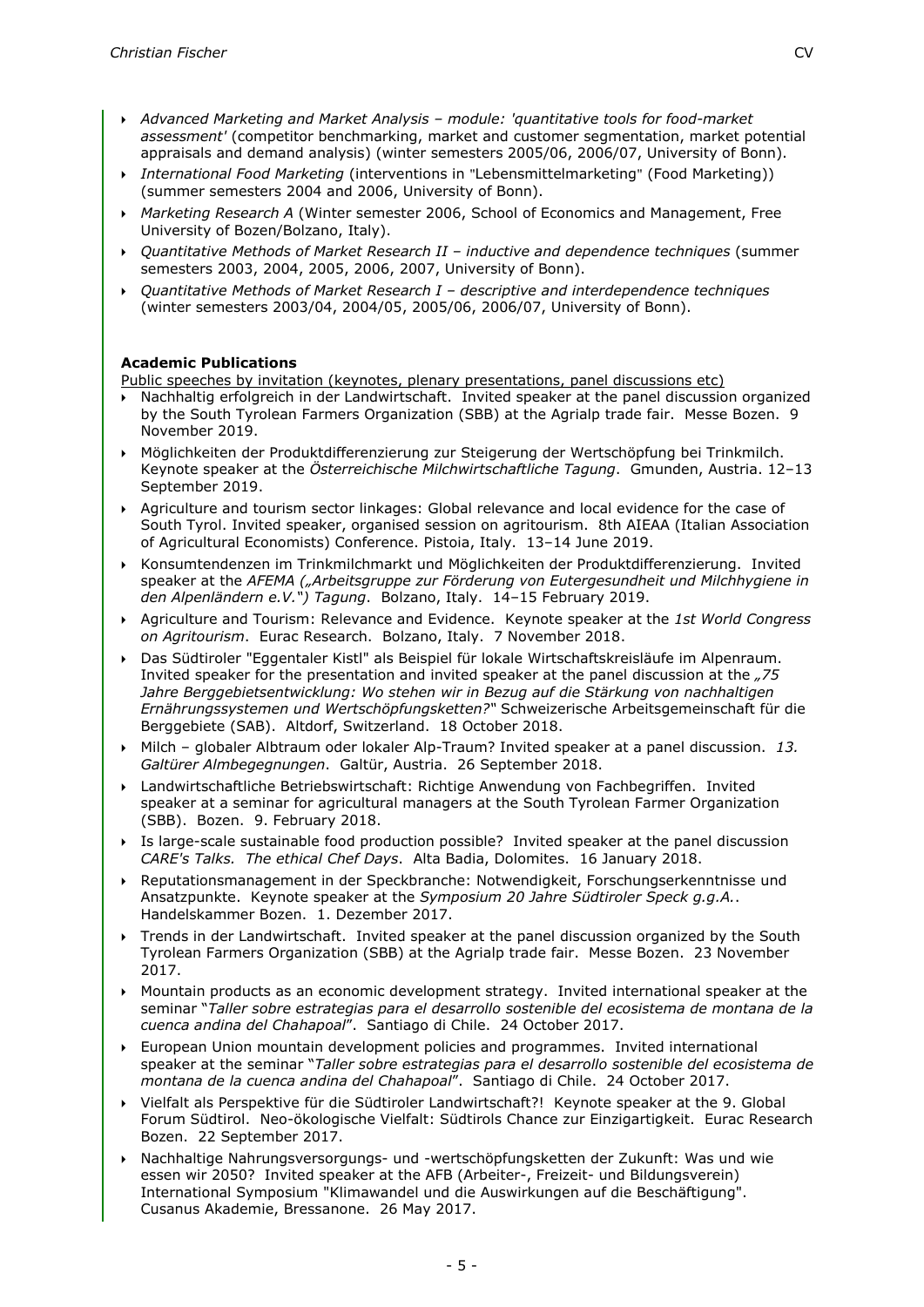- *Advanced Marketing and Market Analysis – module: 'quantitative tools for food-market assessment'* (competitor benchmarking, market and customer segmentation, market potential appraisals and demand analysis) (winter semesters 2005/06, 2006/07, University of Bonn).
- *International Food Marketing* (interventions in "Lebensmittelmarketing" (Food Marketing)) (summer semesters 2004 and 2006, University of Bonn).
- *Marketing Research A* (Winter semester 2006, School of Economics and Management, Free University of Bozen/Bolzano, Italy).
- *Quantitative Methods of Market Research II – inductive and dependence techniques* (summer semesters 2003, 2004, 2005, 2006, 2007, University of Bonn).
- *Quantitative Methods of Market Research I – descriptive and interdependence techniques* (winter semesters 2003/04, 2004/05, 2005/06, 2006/07, University of Bonn).

#### **Academic Publications**

Public speeches by invitation (keynotes, plenary presentations, panel discussions etc)

- Nachhaltig erfolgreich in der Landwirtschaft. Invited speaker at the panel discussion organized by the South Tyrolean Farmers Organization (SBB) at the Agrialp trade fair. Messe Bozen. 9 November 2019.
- Möglichkeiten der Produktdifferenzierung zur Steigerung der Wertschöpfung bei Trinkmilch. Keynote speaker at the *Österreichische Milchwirtschaftliche Tagung*. Gmunden, Austria. 12–13 September 2019.
- Agriculture and tourism sector linkages: Global relevance and local evidence for the case of South Tyrol. Invited speaker, organised session on agritourism. 8th AIEAA (Italian Association of Agricultural Economists) Conference. Pistoia, Italy. 13–14 June 2019.
- Konsumtendenzen im Trinkmilchmarkt und Möglichkeiten der Produktdifferenzierung. Invited speaker at the *AFEMA ("Arbeitsgruppe zur Förderung von Eutergesundheit und Milchhygiene in den Alpenländern e.V.") Tagung*. Bolzano, Italy. 14–15 February 2019.
- Agriculture and Tourism: Relevance and Evidence. Keynote speaker at the *1st World Congress on Agritourism*. Eurac Research. Bolzano, Italy. 7 November 2018.
- Das Südtiroler "Eggentaler Kistl" als Beispiel für lokale Wirtschaftskreisläufe im Alpenraum. Invited speaker for the presentation and invited speaker at the panel discussion at the *"75 Jahre Berggebietsentwicklung: Wo stehen wir in Bezug auf die Stärkung von nachhaltigen Ernährungssystemen und Wertschöpfungsketten?"* Schweizerische Arbeitsgemeinschaft für die Berggebiete (SAB). Altdorf, Switzerland. 18 October 2018.
- Milch globaler Albtraum oder lokaler Alp-Traum? Invited speaker at a panel discussion. *13. Galtürer Almbegegnungen*. Galtür, Austria. 26 September 2018.
- Landwirtschaftliche Betriebswirtschaft: Richtige Anwendung von Fachbegriffen. Invited speaker at a seminar for agricultural managers at the South Tyrolean Farmer Organization (SBB). Bozen. 9. February 2018.
- Is large-scale sustainable food production possible? Invited speaker at the panel discussion *CARE's Talks. The ethical Chef Days*. Alta Badia, Dolomites. 16 January 2018.
- Reputationsmanagement in der Speckbranche: Notwendigkeit, Forschungserkenntnisse und Ansatzpunkte. Keynote speaker at the *Symposium 20 Jahre Südtiroler Speck g.g.A.*. Handelskammer Bozen. 1. Dezember 2017.
- Trends in der Landwirtschaft. Invited speaker at the panel discussion organized by the South Tyrolean Farmers Organization (SBB) at the Agrialp trade fair. Messe Bozen. 23 November 2017.
- Mountain products as an economic development strategy. Invited international speaker at the seminar "*Taller sobre estrategias para el desarrollo sostenible del ecosistema de montana de la cuenca andina del Chahapoal*". Santiago di Chile. 24 October 2017.
- European Union mountain development policies and programmes. Invited international speaker at the seminar "*Taller sobre estrategias para el desarrollo sostenible del ecosistema de montana de la cuenca andina del Chahapoal*". Santiago di Chile. 24 October 2017.
- Vielfalt als Perspektive für die Südtiroler Landwirtschaft?! Keynote speaker at the 9. Global Forum Südtirol. Neo-ökologische Vielfalt: Südtirols Chance zur Einzigartigkeit. Eurac Research Bozen. 22 September 2017.
- Nachhaltige Nahrungsversorgungs- und -wertschöpfungsketten der Zukunft: Was und wie essen wir 2050? Invited speaker at the AFB (Arbeiter-, Freizeit- und Bildungsverein) International Symposium "Klimawandel und die Auswirkungen auf die Beschäftigung". Cusanus Akademie, Bressanone. 26 May 2017.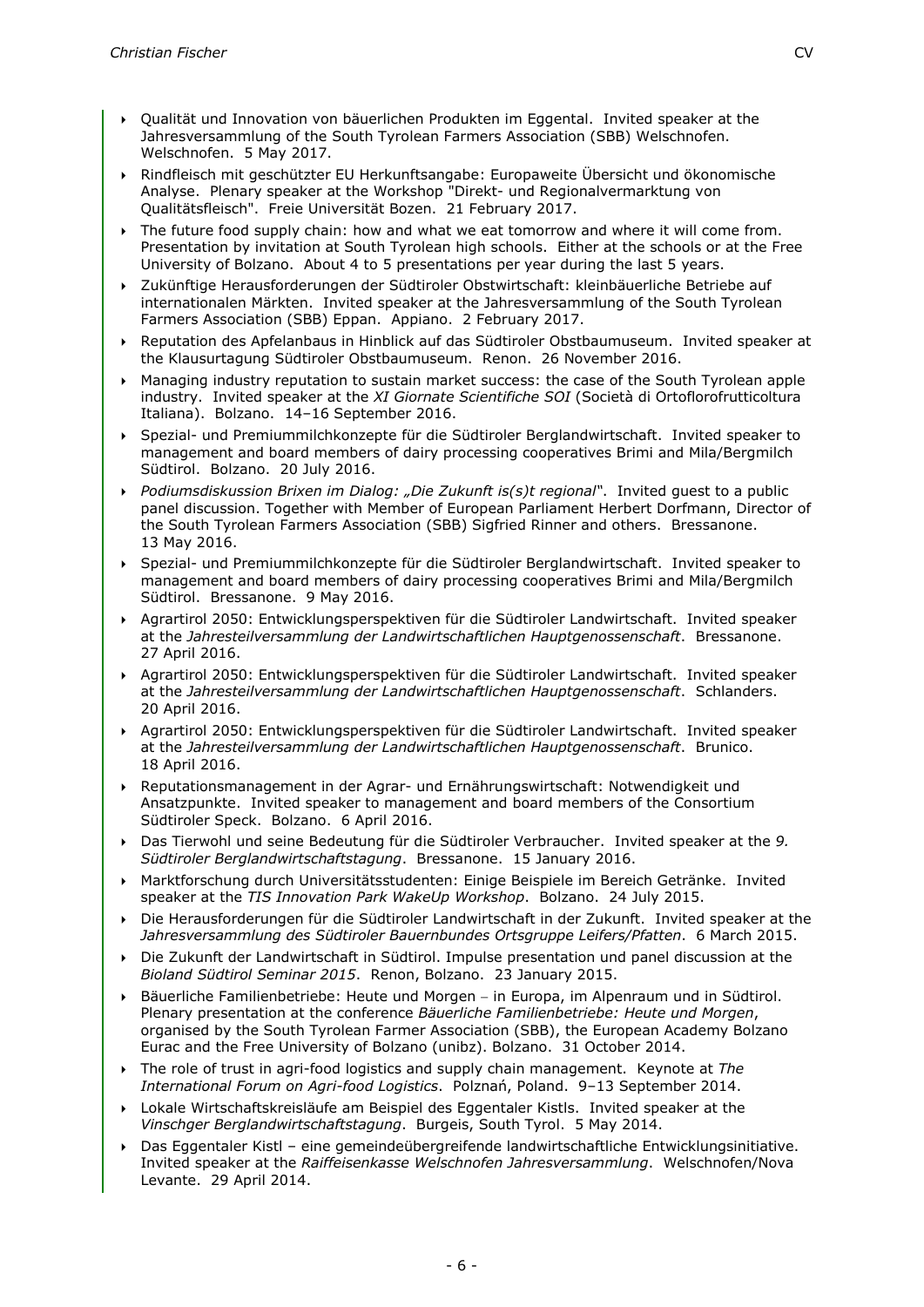- Qualität und Innovation von bäuerlichen Produkten im Eggental. Invited speaker at the Jahresversammlung of the South Tyrolean Farmers Association (SBB) Welschnofen. Welschnofen. 5 May 2017.
- Rindfleisch mit geschützter EU Herkunftsangabe: Europaweite Übersicht und ökonomische Analyse. Plenary speaker at the Workshop "Direkt- und Regionalvermarktung von Qualitätsfleisch". Freie Universität Bozen. 21 February 2017.
- ▶ The future food supply chain: how and what we eat tomorrow and where it will come from. Presentation by invitation at South Tyrolean high schools. Either at the schools or at the Free University of Bolzano. About 4 to 5 presentations per year during the last 5 years.
- Zukünftige Herausforderungen der Südtiroler Obstwirtschaft: kleinbäuerliche Betriebe auf internationalen Märkten. Invited speaker at the Jahresversammlung of the South Tyrolean Farmers Association (SBB) Eppan. Appiano. 2 February 2017.
- Reputation des Apfelanbaus in Hinblick auf das Südtiroler Obstbaumuseum. Invited speaker at the Klausurtagung Südtiroler Obstbaumuseum. Renon. 26 November 2016.
- Managing industry reputation to sustain market success: the case of the South Tyrolean apple industry. Invited speaker at the *XI Giornate Scientifiche SOI* (Società di Ortoflorofrutticoltura Italiana). Bolzano. 14–16 September 2016.
- Spezial- und Premiummilchkonzepte für die Südtiroler Berglandwirtschaft. Invited speaker to management and board members of dairy processing cooperatives Brimi and Mila/Bergmilch Südtirol. Bolzano. 20 July 2016.
- **Podiumsdiskussion Brixen im Dialog: "Die Zukunft is(s)t regional". Invited guest to a public** panel discussion. Together with Member of European Parliament Herbert Dorfmann, Director of the South Tyrolean Farmers Association (SBB) Sigfried Rinner and others. Bressanone. 13 May 2016.
- Spezial- und Premiummilchkonzepte für die Südtiroler Berglandwirtschaft. Invited speaker to management and board members of dairy processing cooperatives Brimi and Mila/Bergmilch Südtirol. Bressanone. 9 May 2016.
- Agrartirol 2050: Entwicklungsperspektiven für die Südtiroler Landwirtschaft. Invited speaker at the *Jahresteilversammlung der Landwirtschaftlichen Hauptgenossenschaft*. Bressanone. 27 April 2016.
- Agrartirol 2050: Entwicklungsperspektiven für die Südtiroler Landwirtschaft. Invited speaker at the *Jahresteilversammlung der Landwirtschaftlichen Hauptgenossenschaft*. Schlanders. 20 April 2016.
- Agrartirol 2050: Entwicklungsperspektiven für die Südtiroler Landwirtschaft. Invited speaker at the *Jahresteilversammlung der Landwirtschaftlichen Hauptgenossenschaft*. Brunico. 18 April 2016.
- Reputationsmanagement in der Agrar- und Ernährungswirtschaft: Notwendigkeit und Ansatzpunkte. Invited speaker to management and board members of the Consortium Südtiroler Speck. Bolzano. 6 April 2016.
- Das Tierwohl und seine Bedeutung für die Südtiroler Verbraucher. Invited speaker at the *9. Südtiroler Berglandwirtschaftstagung*. Bressanone. 15 January 2016.
- Marktforschung durch Universitätsstudenten: Einige Beispiele im Bereich Getränke. Invited speaker at the *TIS Innovation Park WakeUp Workshop*. Bolzano. 24 July 2015.
- Die Herausforderungen für die Südtiroler Landwirtschaft in der Zukunft. Invited speaker at the *Jahresversammlung des Südtiroler Bauernbundes Ortsgruppe Leifers/Pfatten*. 6 March 2015.
- Die Zukunft der Landwirtschaft in Südtirol. Impulse presentation und panel discussion at the *Bioland Südtirol Seminar 2015*. Renon, Bolzano. 23 January 2015.
- Bäuerliche Familienbetriebe: Heute und Morgen − in Europa, im Alpenraum und in Südtirol. Plenary presentation at the conference *Bäuerliche Familienbetriebe: Heute und Morgen*, organised by the South Tyrolean Farmer Association (SBB), the European Academy Bolzano Eurac and the Free University of Bolzano (unibz). Bolzano. 31 October 2014.
- The role of trust in agri-food logistics and supply chain management. Keynote at *The International Forum on Agri-food Logistics*. Polznań, Poland. 9–13 September 2014.
- Lokale Wirtschaftskreisläufe am Beispiel des Eggentaler Kistls. Invited speaker at the *Vinschger Berglandwirtschaftstagung*. Burgeis, South Tyrol. 5 May 2014.
- Das Eggentaler Kistl eine gemeindeübergreifende landwirtschaftliche Entwicklungsinitiative. Invited speaker at the *Raiffeisenkasse Welschnofen Jahresversammlung*. Welschnofen/Nova Levante. 29 April 2014.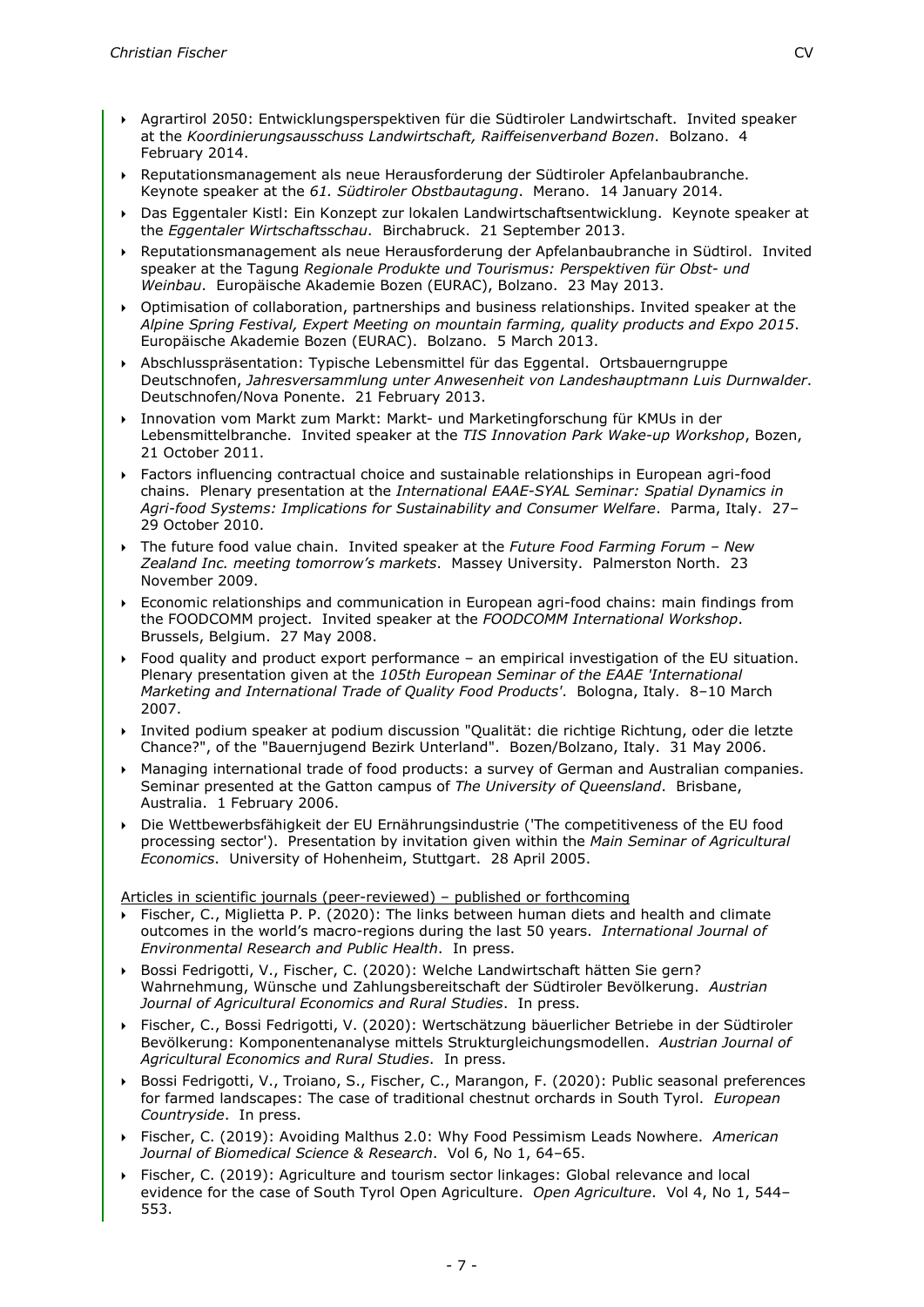- Agrartirol 2050: Entwicklungsperspektiven für die Südtiroler Landwirtschaft. Invited speaker at the *Koordinierungsausschuss Landwirtschaft, Raiffeisenverband Bozen*. Bolzano. 4 February 2014.
- Reputationsmanagement als neue Herausforderung der Südtiroler Apfelanbaubranche. Keynote speaker at the *61. Südtiroler Obstbautagung*. Merano. 14 January 2014.
- Das Eggentaler Kistl: Ein Konzept zur lokalen Landwirtschaftsentwicklung. Keynote speaker at the *Eggentaler Wirtschaftsschau*. Birchabruck. 21 September 2013.
- Reputationsmanagement als neue Herausforderung der Apfelanbaubranche in Südtirol. Invited speaker at the Tagung *Regionale Produkte und Tourismus: Perspektiven für Obst- und Weinbau*. Europäische Akademie Bozen (EURAC), Bolzano. 23 May 2013.
- Optimisation of collaboration, partnerships and business relationships. Invited speaker at the *Alpine Spring Festival, Expert Meeting on mountain farming, quality products and Expo 2015*. Europäische Akademie Bozen (EURAC). Bolzano. 5 March 2013.
- Abschlusspräsentation: Typische Lebensmittel für das Eggental. Ortsbauerngruppe Deutschnofen, *Jahresversammlung unter Anwesenheit von Landeshauptmann Luis Durnwalder*. Deutschnofen/Nova Ponente. 21 February 2013.
- Innovation vom Markt zum Markt: Markt- und Marketingforschung für KMUs in der Lebensmittelbranche. Invited speaker at the *TIS Innovation Park Wake-up Workshop*, Bozen, 21 October 2011.
- Factors influencing contractual choice and sustainable relationships in European agri-food chains. Plenary presentation at the *International EAAE-SYAL Seminar: Spatial Dynamics in Agri-food Systems: Implications for Sustainability and Consumer Welfare*. Parma, Italy. 27– 29 October 2010.
- The future food value chain. Invited speaker at the *Future Food Farming Forum – New Zealand Inc. meeting tomorrow's markets*. Massey University. Palmerston North. 23 November 2009.
- Economic relationships and communication in European agri-food chains: main findings from the FOODCOMM project. Invited speaker at the *FOODCOMM International Workshop*. Brussels, Belgium. 27 May 2008.
- Food quality and product export performance an empirical investigation of the EU situation. Plenary presentation given at the *105th European Seminar of the EAAE 'International Marketing and International Trade of Quality Food Products'*. Bologna, Italy. 8–10 March 2007.
- Invited podium speaker at podium discussion "Qualität: die richtige Richtung, oder die letzte Chance?", of the "Bauernjugend Bezirk Unterland". Bozen/Bolzano, Italy. 31 May 2006.
- Managing international trade of food products: a survey of German and Australian companies. Seminar presented at the Gatton campus of *The University of Queensland*. Brisbane, Australia. 1 February 2006.
- Die Wettbewerbsfähigkeit der EU Ernährungsindustrie ('The competitiveness of the EU food processing sector'). Presentation by invitation given within the *Main Seminar of Agricultural Economics*. University of Hohenheim, Stuttgart. 28 April 2005.

Articles in scientific journals (peer-reviewed) – published or forthcoming

- Fischer, C., Miglietta P. P. (2020): The links between human diets and health and climate outcomes in the world's macro-regions during the last 50 years. *International Journal of Environmental Research and Public Health*. In press.
- Bossi Fedrigotti, V., Fischer, C. (2020): Welche Landwirtschaft hätten Sie gern? Wahrnehmung, Wünsche und Zahlungsbereitschaft der Südtiroler Bevölkerung. *Austrian Journal of Agricultural Economics and Rural Studies*. In press.
- Fischer, C., Bossi Fedrigotti, V. (2020): Wertschätzung bäuerlicher Betriebe in der Südtiroler Bevölkerung: Komponentenanalyse mittels Strukturgleichungsmodellen. *Austrian Journal of Agricultural Economics and Rural Studies*. In press.
- Bossi Fedrigotti, V., Troiano, S., Fischer, C., Marangon, F. (2020): Public seasonal preferences for farmed landscapes: The case of traditional chestnut orchards in South Tyrol. *European Countryside*. In press.
- Fischer, C. (2019): Avoiding Malthus 2.0: Why Food Pessimism Leads Nowhere. *American Journal of Biomedical Science & Research*. Vol 6, No 1, 64–65.
- Fischer, C. (2019): Agriculture and tourism sector linkages: Global relevance and local evidence for the case of South Tyrol Open Agriculture. *Open Agriculture*. Vol 4, No 1, 544– 553.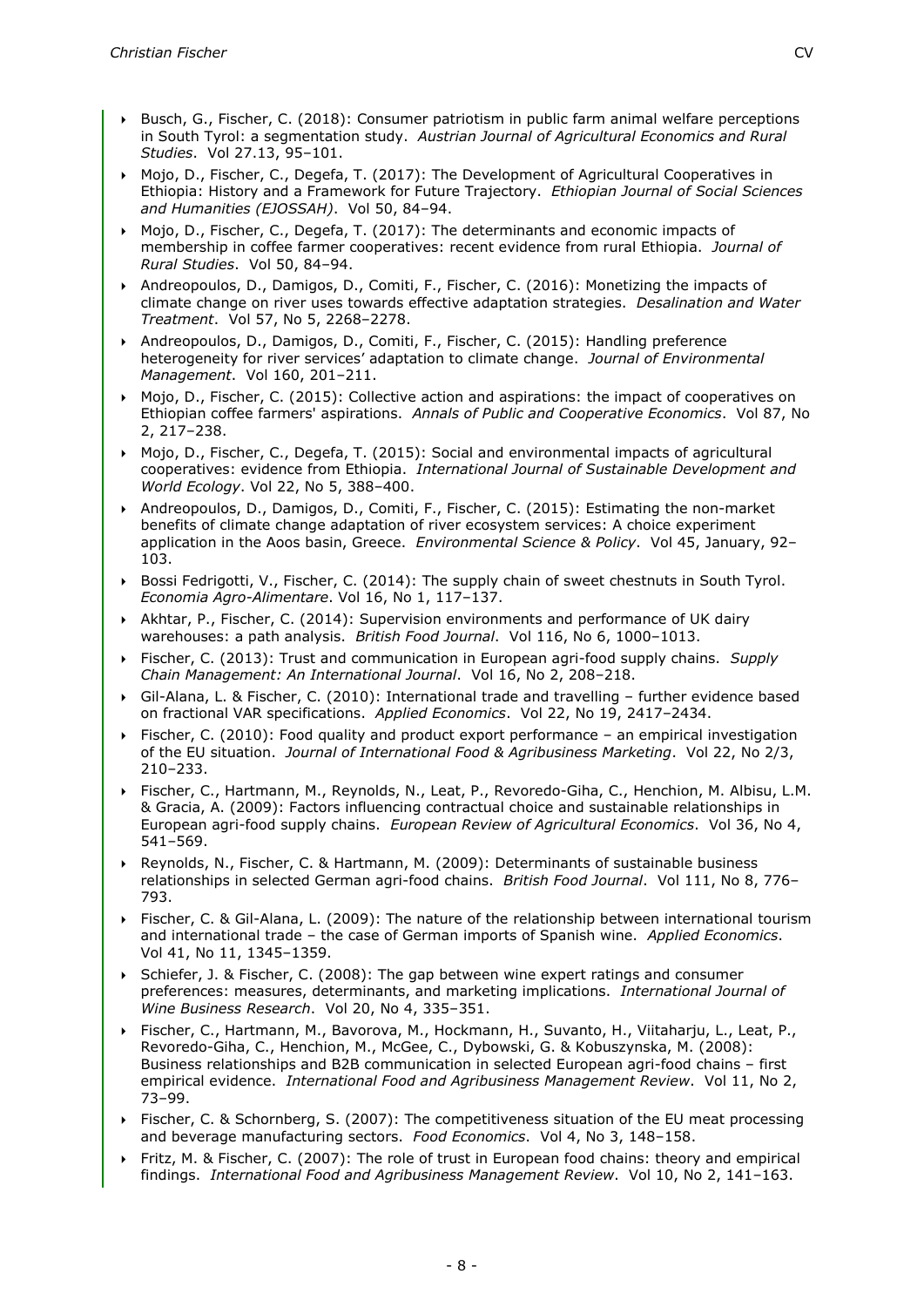- Busch, G., Fischer, C. (2018): Consumer patriotism in public farm animal welfare perceptions in South Tyrol: a segmentation study. *Austrian Journal of Agricultural Economics and Rural Studies*. Vol 27.13, 95–101.
- Mojo, D., Fischer, C., Degefa, T. (2017): The Development of Agricultural Cooperatives in Ethiopia: History and a Framework for Future Trajectory. *Ethiopian Journal of Social Sciences and Humanities (EJOSSAH)*. Vol 50, 84–94.
- Mojo, D., Fischer, C., Degefa, T. (2017): The determinants and economic impacts of membership in coffee farmer cooperatives: recent evidence from rural Ethiopia. *Journal of Rural Studies*. Vol 50, 84–94.
- Andreopoulos, D., Damigos, D., Comiti, F., Fischer, C. (2016): Monetizing the impacts of climate change on river uses towards effective adaptation strategies. *Desalination and Water Treatment*. Vol 57, No 5, 2268–2278.
- Andreopoulos, D., Damigos, D., Comiti, F., Fischer, C. (2015): Handling preference heterogeneity for river services' adaptation to climate change. *Journal of Environmental Management*. Vol 160, 201–211.
- Mojo, D., Fischer, C. (2015): Collective action and aspirations: the impact of cooperatives on Ethiopian coffee farmers' aspirations. *Annals of Public and Cooperative Economics*. Vol 87, No 2, 217–238.
- Mojo, D., Fischer, C., Degefa, T. (2015): Social and environmental impacts of agricultural cooperatives: evidence from Ethiopia. *International Journal of Sustainable Development and World Ecology*. Vol 22, No 5, 388–400.
- Andreopoulos, D., Damigos, D., Comiti, F., Fischer, C. (2015): Estimating the non-market benefits of climate change adaptation of river ecosystem services: A choice experiment application in the Aoos basin, Greece. *Environmental Science & Policy*. Vol 45, January, 92– 103.
- Bossi Fedrigotti, V., Fischer, C. (2014): The supply chain of sweet chestnuts in South Tyrol. *Economia Agro-Alimentare*. Vol 16, No 1, 117–137.
- Akhtar, P., Fischer, C. (2014): Supervision environments and performance of UK dairy warehouses: a path analysis. *British Food Journal*. Vol 116, No 6, 1000–1013.
- Fischer, C. (2013): Trust and communication in European agri-food supply chains. *Supply Chain Management: An International Journal*. Vol 16, No 2, 208–218.
- Gil-Alana, L. & Fischer, C. (2010): International trade and travelling further evidence based on fractional VAR specifications. *Applied Economics*. Vol 22, No 19, 2417–2434.
- Fischer, C. (2010): Food quality and product export performance an empirical investigation of the EU situation. *Journal of International Food & Agribusiness Marketing*. Vol 22, No 2/3, 210–233.
- Fischer, C., Hartmann, M., Reynolds, N., Leat, P., Revoredo-Giha, C., Henchion, M. Albisu, L.M. & Gracia, A. (2009): Factors influencing contractual choice and sustainable relationships in European agri-food supply chains. *European Review of Agricultural Economics*. Vol 36, No 4, 541–569.
- Reynolds, N., Fischer, C. & Hartmann, M. (2009): Determinants of sustainable business relationships in selected German agri-food chains. *British Food Journal*. Vol 111, No 8, 776– 793.
- Fischer, C. & Gil-Alana, L. (2009): The nature of the relationship between international tourism and international trade – the case of German imports of Spanish wine. *Applied Economics*. Vol 41, No 11, 1345–1359.
- Schiefer, J. & Fischer, C. (2008): The gap between wine expert ratings and consumer preferences: measures, determinants, and marketing implications. *International Journal of Wine Business Research*. Vol 20, No 4, 335–351.
- Fischer, C., Hartmann, M., Bavorova, M., Hockmann, H., Suvanto, H., Viitaharju, L., Leat, P., Revoredo-Giha, C., Henchion, M., McGee, C., Dybowski, G. & Kobuszynska, M. (2008): Business relationships and B2B communication in selected European agri-food chains – first empirical evidence. *International Food and Agribusiness Management Review*. Vol 11, No 2, 73–99.
- Fischer, C. & Schornberg, S. (2007): The competitiveness situation of the EU meat processing and beverage manufacturing sectors. *Food Economics*. Vol 4, No 3, 148–158.
- Fritz, M. & Fischer, C. (2007): The role of trust in European food chains: theory and empirical findings. *International Food and Agribusiness Management Review*. Vol 10, No 2, 141–163.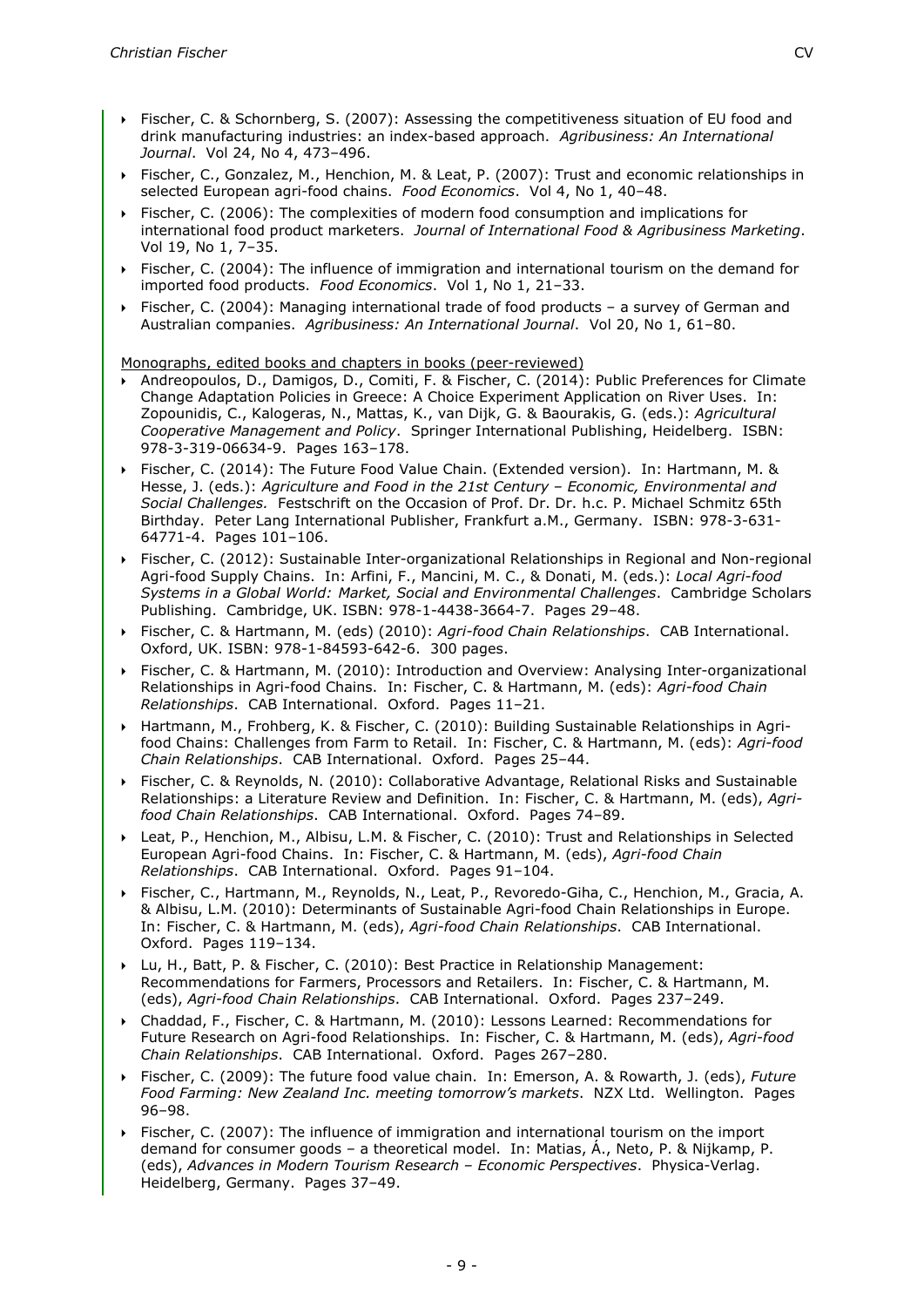- Fischer, C. & Schornberg, S. (2007): Assessing the competitiveness situation of EU food and drink manufacturing industries: an index-based approach. *Agribusiness: An International Journal*. Vol 24, No 4, 473–496.
- Fischer, C., Gonzalez, M., Henchion, M. & Leat, P. (2007): Trust and economic relationships in selected European agri-food chains. *Food Economics*. Vol 4, No 1, 40–48.
- Fischer, C. (2006): The complexities of modern food consumption and implications for international food product marketers. *Journal of International Food & Agribusiness Marketing*. Vol 19, No 1, 7–35.
- Fischer, C. (2004): The influence of immigration and international tourism on the demand for imported food products. *Food Economics*. Vol 1, No 1, 21–33.
- Fischer, C. (2004): Managing international trade of food products a survey of German and Australian companies. *Agribusiness: An International Journal*. Vol 20, No 1, 61–80.

Monographs, edited books and chapters in books (peer-reviewed)

- Andreopoulos, D., Damigos, D., Comiti, F. & Fischer, C. (2014): Public Preferences for Climate Change Adaptation Policies in Greece: A Choice Experiment Application on River Uses. In: Zopounidis, C., Kalogeras, N., Mattas, K., van Dijk, G. & Baourakis, G. (eds.): *Agricultural Cooperative Management and Policy*. Springer International Publishing, Heidelberg. ISBN: 978-3-319-06634-9. Pages 163–178.
- Fischer, C. (2014): The Future Food Value Chain. (Extended version). In: Hartmann, M. & Hesse, J. (eds.): *Agriculture and Food in the 21st Century – Economic, Environmental and Social Challenges.* Festschrift on the Occasion of Prof. Dr. Dr. h.c. P. Michael Schmitz 65th Birthday. Peter Lang International Publisher, Frankfurt a.M., Germany. ISBN: 978-3-631- 64771-4. Pages 101–106.
- Fischer, C. (2012): Sustainable Inter-organizational Relationships in Regional and Non-regional Agri-food Supply Chains. In: Arfini, F., Mancini, M. C., & Donati, M. (eds.): *Local Agri-food Systems in a Global World: Market, Social and Environmental Challenges*. Cambridge Scholars Publishing. Cambridge, UK. ISBN: 978-1-4438-3664-7. Pages 29–48.
- Fischer, C. & Hartmann, M. (eds) (2010): *Agri-food Chain Relationships*. CAB International. Oxford, UK. ISBN: 978-1-84593-642-6. 300 pages.
- Fischer, C. & Hartmann, M. (2010): Introduction and Overview: Analysing Inter-organizational Relationships in Agri-food Chains. In: Fischer, C. & Hartmann, M. (eds): *Agri-food Chain Relationships*. CAB International. Oxford. Pages 11–21.
- Hartmann, M., Frohberg, K. & Fischer, C. (2010): Building Sustainable Relationships in Agrifood Chains: Challenges from Farm to Retail. In: Fischer, C. & Hartmann, M. (eds): *Agri-food Chain Relationships*. CAB International. Oxford. Pages 25–44.
- Fischer, C. & Reynolds, N. (2010): Collaborative Advantage, Relational Risks and Sustainable Relationships: a Literature Review and Definition. In: Fischer, C. & Hartmann, M. (eds), *Agrifood Chain Relationships*. CAB International. Oxford. Pages 74–89.
- Leat, P., Henchion, M., Albisu, L.M. & Fischer, C. (2010): Trust and Relationships in Selected European Agri-food Chains. In: Fischer, C. & Hartmann, M. (eds), *Agri-food Chain Relationships*. CAB International. Oxford. Pages 91–104.
- Fischer, C., Hartmann, M., Reynolds, N., Leat, P., Revoredo-Giha, C., Henchion, M., Gracia, A. & Albisu, L.M. (2010): Determinants of Sustainable Agri-food Chain Relationships in Europe. In: Fischer, C. & Hartmann, M. (eds), *Agri-food Chain Relationships*. CAB International. Oxford. Pages 119–134.
- Lu, H., Batt, P. & Fischer, C. (2010): Best Practice in Relationship Management: Recommendations for Farmers, Processors and Retailers. In: Fischer, C. & Hartmann, M. (eds), *Agri-food Chain Relationships*. CAB International. Oxford. Pages 237–249.
- Chaddad, F., Fischer, C. & Hartmann, M. (2010): Lessons Learned: Recommendations for Future Research on Agri-food Relationships. In: Fischer, C. & Hartmann, M. (eds), *Agri-food Chain Relationships*. CAB International. Oxford. Pages 267–280.
- Fischer, C. (2009): The future food value chain. In: Emerson, A. & Rowarth, J. (eds), *Future Food Farming: New Zealand Inc. meeting tomorrow's markets*. NZX Ltd. Wellington. Pages 96–98.
- Fischer, C. (2007): The influence of immigration and international tourism on the import demand for consumer goods – a theoretical model. In: Matias, Á., Neto, P. & Nijkamp, P. (eds), *Advances in Modern Tourism Research – Economic Perspectives*. Physica-Verlag. Heidelberg, Germany. Pages 37–49.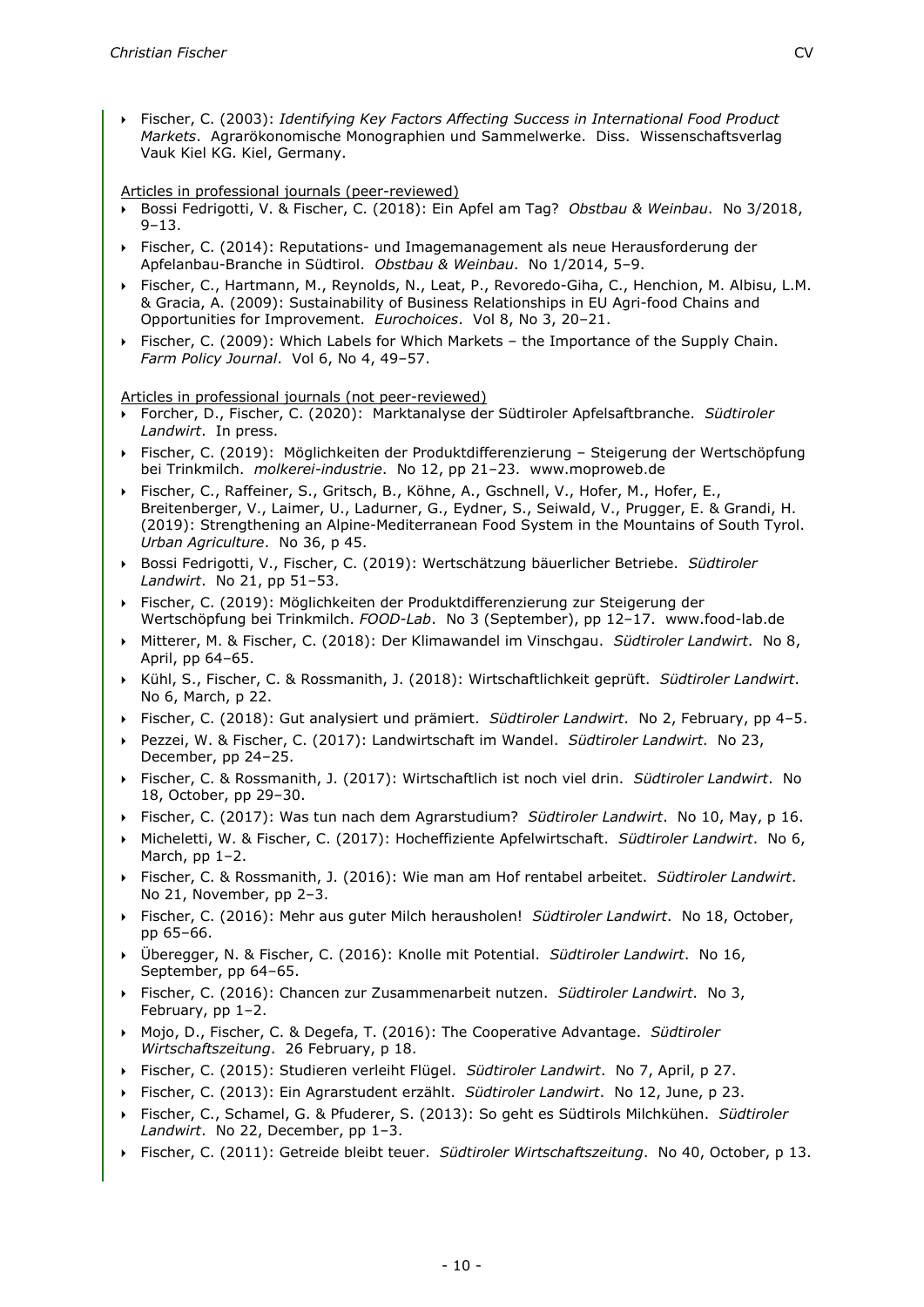Fischer, C. (2003): *Identifying Key Factors Affecting Success in International Food Product Markets*. Agrarökonomische Monographien und Sammelwerke. Diss. Wissenschaftsverlag Vauk Kiel KG. Kiel, Germany.

Articles in professional journals (peer-reviewed)

- Bossi Fedrigotti, V. & Fischer, C. (2018): Ein Apfel am Tag? *Obstbau & Weinbau*. No 3/2018,  $9 - 13$ .
- Fischer, C. (2014): Reputations- und Imagemanagement als neue Herausforderung der Apfelanbau-Branche in Südtirol. *Obstbau & Weinbau*. No 1/2014, 5–9.
- Fischer, C., Hartmann, M., Reynolds, N., Leat, P., Revoredo-Giha, C., Henchion, M. Albisu, L.M. & Gracia, A. (2009): Sustainability of Business Relationships in EU Agri-food Chains and Opportunities for Improvement. *Eurochoices*. Vol 8, No 3, 20–21.
- Fischer, C. (2009): Which Labels for Which Markets the Importance of the Supply Chain. *Farm Policy Journal*. Vol 6, No 4, 49–57.

Articles in professional journals (not peer-reviewed)

- Forcher, D., Fischer, C. (2020): Marktanalyse der Südtiroler Apfelsaftbranche. *Südtiroler Landwirt*. In press.
- Fischer, C. (2019): Möglichkeiten der Produktdifferenzierung Steigerung der Wertschöpfung bei Trinkmilch. *molkerei-industrie*. No 12, pp 21–23. www.moproweb.de
- Fischer, C., Raffeiner, S., Gritsch, B., Köhne, A., Gschnell, V., Hofer, M., Hofer, E., Breitenberger, V., Laimer, U., Ladurner, G., Eydner, S., Seiwald, V., Prugger, E. & Grandi, H. (2019): Strengthening an Alpine-Mediterranean Food System in the Mountains of South Tyrol. *Urban Agriculture*. No 36, p 45.
- Bossi Fedrigotti, V., Fischer, C. (2019): Wertschätzung bäuerlicher Betriebe. *Südtiroler Landwirt*. No 21, pp 51–53.
- Fischer, C. (2019): Möglichkeiten der Produktdifferenzierung zur Steigerung der Wertschöpfung bei Trinkmilch. *FOOD-Lab*. No 3 (September), pp 12–17. www.food-lab.de
- Mitterer, M. & Fischer, C. (2018): Der Klimawandel im Vinschgau. *Südtiroler Landwirt*. No 8, April, pp 64–65.
- Kühl, S., Fischer, C. & Rossmanith, J. (2018): Wirtschaftlichkeit geprüft. *Südtiroler Landwirt*. No 6, March, p 22.
- Fischer, C. (2018): Gut analysiert und prämiert. *Südtiroler Landwirt*. No 2, February, pp 4–5.
- Pezzei, W. & Fischer, C. (2017): Landwirtschaft im Wandel. *Südtiroler Landwirt*. No 23, December, pp 24–25.
- Fischer, C. & Rossmanith, J. (2017): Wirtschaftlich ist noch viel drin. *Südtiroler Landwirt*. No 18, October, pp 29–30.
- Fischer, C. (2017): Was tun nach dem Agrarstudium? *Südtiroler Landwirt*. No 10, May, p 16.
- Micheletti, W. & Fischer, C. (2017): Hocheffiziente Apfelwirtschaft. *Südtiroler Landwirt*. No 6, March, pp 1–2.
- Fischer, C. & Rossmanith, J. (2016): Wie man am Hof rentabel arbeitet. *Südtiroler Landwirt*. No 21, November, pp 2–3.
- Fischer, C. (2016): Mehr aus guter Milch herausholen! *Südtiroler Landwirt*. No 18, October, pp 65–66.
- Überegger, N. & Fischer, C. (2016): Knolle mit Potential. *Südtiroler Landwirt*. No 16, September, pp 64–65.
- Fischer, C. (2016): Chancen zur Zusammenarbeit nutzen. *Südtiroler Landwirt*. No 3, February, pp 1–2.
- Mojo, D., Fischer, C. & Degefa, T. (2016): The Cooperative Advantage. *Südtiroler Wirtschaftszeitung*. 26 February, p 18.
- Fischer, C. (2015): Studieren verleiht Flügel. *Südtiroler Landwirt*. No 7, April, p 27.
- Fischer, C. (2013): Ein Agrarstudent erzählt. *Südtiroler Landwirt*. No 12, June, p 23.
- Fischer, C., Schamel, G. & Pfuderer, S. (2013): So geht es Südtirols Milchkühen. *Südtiroler Landwirt*. No 22, December, pp 1–3.
- Fischer, C. (2011): Getreide bleibt teuer. *Südtiroler Wirtschaftszeitung*. No 40, October, p 13.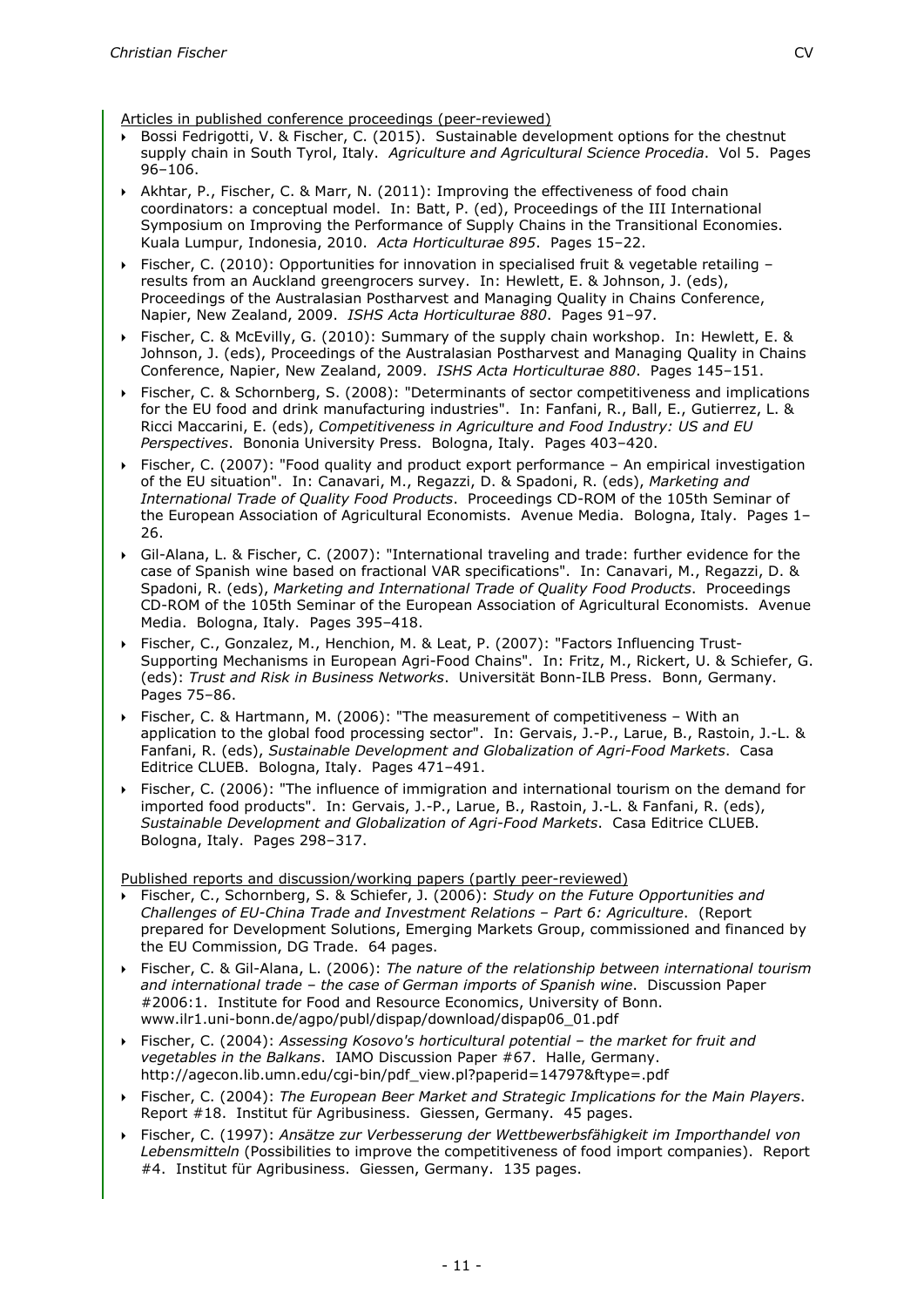Articles in published conference proceedings (peer-reviewed)

- Bossi Fedrigotti, V. & Fischer, C. (2015). Sustainable development options for the chestnut supply chain in South Tyrol, Italy. *Agriculture and Agricultural Science Procedia*. Vol 5. Pages 96–106.
- Akhtar, P., Fischer, C. & Marr, N. (2011): Improving the effectiveness of food chain coordinators: a conceptual model. In: Batt, P. (ed), Proceedings of the III International Symposium on Improving the Performance of Supply Chains in the Transitional Economies. Kuala Lumpur, Indonesia, 2010. *Acta Horticulturae 895*. Pages 15–22.
- Fischer, C. (2010): Opportunities for innovation in specialised fruit & vegetable retailing results from an Auckland greengrocers survey. In: Hewlett, E. & Johnson, J. (eds), Proceedings of the Australasian Postharvest and Managing Quality in Chains Conference, Napier, New Zealand, 2009. *ISHS Acta Horticulturae 880*. Pages 91–97.
- Fischer, C. & McEvilly, G. (2010): Summary of the supply chain workshop. In: Hewlett, E. & Johnson, J. (eds), Proceedings of the Australasian Postharvest and Managing Quality in Chains Conference, Napier, New Zealand, 2009. *ISHS Acta Horticulturae 880*. Pages 145–151.
- Fischer, C. & Schornberg, S. (2008): "Determinants of sector competitiveness and implications for the EU food and drink manufacturing industries". In: Fanfani, R., Ball, E., Gutierrez, L. & Ricci Maccarini, E. (eds), *Competitiveness in Agriculture and Food Industry: US and EU Perspectives*. Bononia University Press. Bologna, Italy. Pages 403–420.
- Fischer, C. (2007): "Food quality and product export performance An empirical investigation of the EU situation". In: Canavari, M., Regazzi, D. & Spadoni, R. (eds), *Marketing and International Trade of Quality Food Products*. Proceedings CD-ROM of the 105th Seminar of the European Association of Agricultural Economists. Avenue Media. Bologna, Italy. Pages 1– 26.
- Gil-Alana, L. & Fischer, C. (2007): "International traveling and trade: further evidence for the case of Spanish wine based on fractional VAR specifications". In: Canavari, M., Regazzi, D. & Spadoni, R. (eds), *Marketing and International Trade of Quality Food Products*. Proceedings CD-ROM of the 105th Seminar of the European Association of Agricultural Economists. Avenue Media. Bologna, Italy. Pages 395–418.
- Fischer, C., Gonzalez, M., Henchion, M. & Leat, P. (2007): "Factors Influencing Trust-Supporting Mechanisms in European Agri-Food Chains". In: Fritz, M., Rickert, U. & Schiefer, G. (eds): *Trust and Risk in Business Networks*. Universität Bonn-ILB Press. Bonn, Germany. Pages 75–86.
- Fischer, C. & Hartmann, M. (2006): "The measurement of competitiveness With an application to the global food processing sector". In: Gervais, J.-P., Larue, B., Rastoin, J.-L. & Fanfani, R. (eds), *Sustainable Development and Globalization of Agri-Food Markets*. Casa Editrice CLUEB. Bologna, Italy. Pages 471–491.
- Fischer, C. (2006): "The influence of immigration and international tourism on the demand for imported food products". In: Gervais, J.-P., Larue, B., Rastoin, J.-L. & Fanfani, R. (eds), *Sustainable Development and Globalization of Agri-Food Markets*. Casa Editrice CLUEB. Bologna, Italy. Pages 298–317.

Published reports and discussion/working papers (partly peer-reviewed)

- Fischer, C., Schornberg, S. & Schiefer, J. (2006): *Study on the Future Opportunities and Challenges of EU-China Trade and Investment Relations – Part 6: Agriculture*. (Report prepared for Development Solutions, Emerging Markets Group, commissioned and financed by the EU Commission, DG Trade. 64 pages.
- Fischer, C. & Gil-Alana, L. (2006): *The nature of the relationship between international tourism and international trade – the case of German imports of Spanish wine*. Discussion Paper #2006:1. Institute for Food and Resource Economics, University of Bonn. www.ilr1.uni-bonn.de/agpo/publ/dispap/download/dispap06\_01.pdf
- Fischer, C. (2004): *Assessing Kosovo's horticultural potential – the market for fruit and vegetables in the Balkans*. IAMO Discussion Paper #67. Halle, Germany. http://agecon.lib.umn.edu/cgi-bin/pdf\_view.pl?paperid=14797&ftype=.pdf
- Fischer, C. (2004): *The European Beer Market and Strategic Implications for the Main Players*. Report #18. Institut für Agribusiness. Giessen, Germany. 45 pages.
- Fischer, C. (1997): *Ansätze zur Verbesserung der Wettbewerbsfähigkeit im Importhandel von Lebensmitteln* (Possibilities to improve the competitiveness of food import companies). Report #4. Institut für Agribusiness. Giessen, Germany. 135 pages.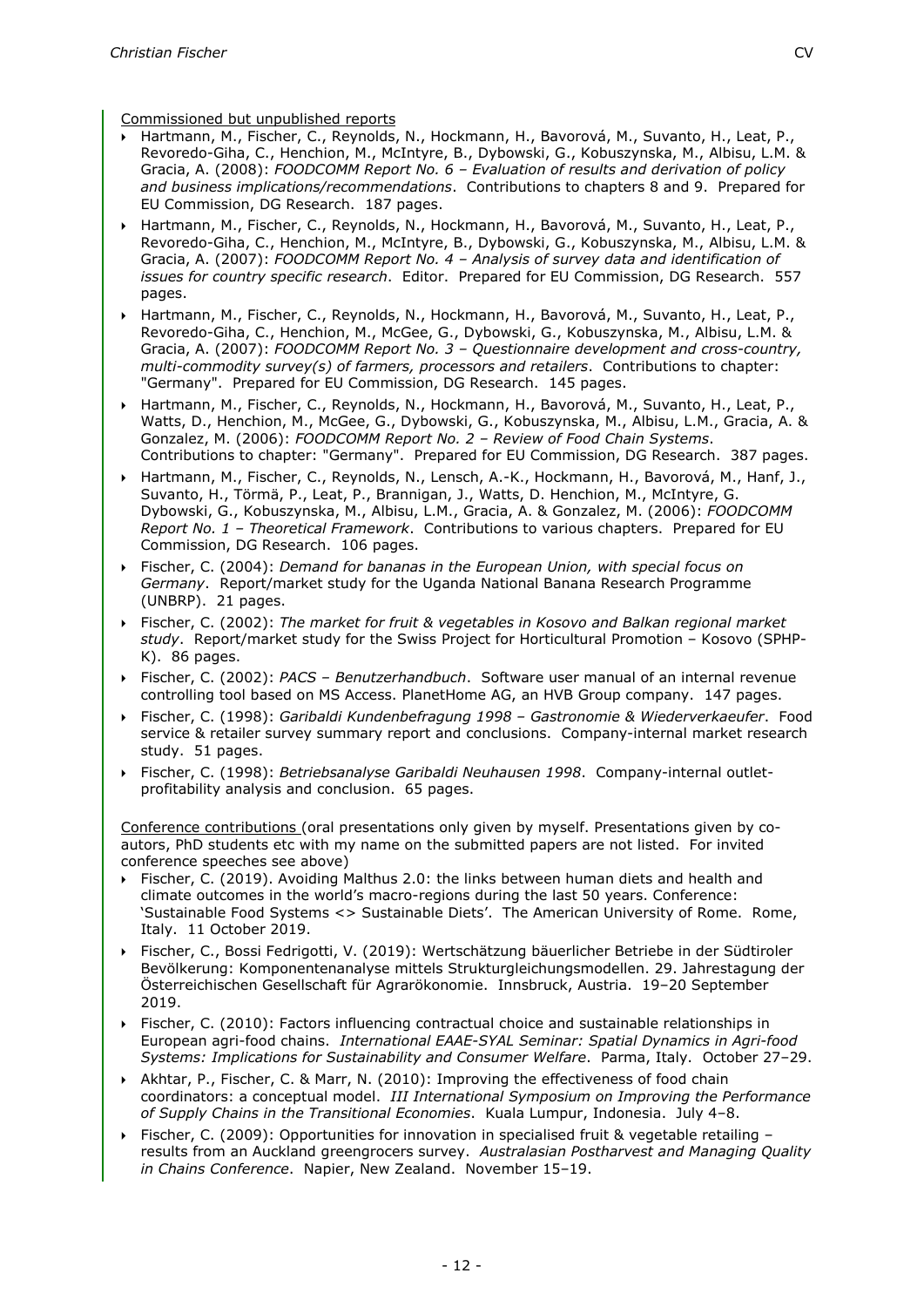Commissioned but unpublished reports

- Hartmann, M., Fischer, C., Reynolds, N., Hockmann, H., Bavorová, M., Suvanto, H., Leat, P., Revoredo-Giha, C., Henchion, M., McIntyre, B., Dybowski, G., Kobuszynska, M., Albisu, L.M. & Gracia, A. (2008): *FOODCOMM Report No. 6 – Evaluation of results and derivation of policy and business implications/recommendations*. Contributions to chapters 8 and 9. Prepared for EU Commission, DG Research. 187 pages.
- Hartmann, M., Fischer, C., Reynolds, N., Hockmann, H., Bavorová, M., Suvanto, H., Leat, P., Revoredo-Giha, C., Henchion, M., McIntyre, B., Dybowski, G., Kobuszynska, M., Albisu, L.M. & Gracia, A. (2007): *FOODCOMM Report No. 4 – Analysis of survey data and identification of issues for country specific research*. Editor. Prepared for EU Commission, DG Research. 557 pages.
- Hartmann, M., Fischer, C., Reynolds, N., Hockmann, H., Bavorová, M., Suvanto, H., Leat, P., Revoredo-Giha, C., Henchion, M., McGee, G., Dybowski, G., Kobuszynska, M., Albisu, L.M. & Gracia, A. (2007): *FOODCOMM Report No. 3 – Questionnaire development and cross-country, multi-commodity survey(s) of farmers, processors and retailers*. Contributions to chapter: "Germany". Prepared for EU Commission, DG Research. 145 pages.
- Hartmann, M., Fischer, C., Reynolds, N., Hockmann, H., Bavorová, M., Suvanto, H., Leat, P., Watts, D., Henchion, M., McGee, G., Dybowski, G., Kobuszynska, M., Albisu, L.M., Gracia, A. & Gonzalez, M. (2006): *FOODCOMM Report No. 2 – Review of Food Chain Systems*. Contributions to chapter: "Germany". Prepared for EU Commission, DG Research. 387 pages.
- Hartmann, M., Fischer, C., Reynolds, N., Lensch, A.-K., Hockmann, H., Bavorová, M., Hanf, J., Suvanto, H., Törmä, P., Leat, P., Brannigan, J., Watts, D. Henchion, M., McIntyre, G. Dybowski, G., Kobuszynska, M., Albisu, L.M., Gracia, A. & Gonzalez, M. (2006): *FOODCOMM Report No. 1 – Theoretical Framework*. Contributions to various chapters. Prepared for EU Commission, DG Research. 106 pages.
- Fischer, C. (2004): *Demand for bananas in the European Union, with special focus on Germany*. Report/market study for the Uganda National Banana Research Programme (UNBRP). 21 pages.
- Fischer, C. (2002): *The market for fruit & vegetables in Kosovo and Balkan regional market study*. Report/market study for the Swiss Project for Horticultural Promotion – Kosovo (SPHP-K). 86 pages.
- Fischer, C. (2002): *PACS – Benutzerhandbuch*. Software user manual of an internal revenue controlling tool based on MS Access. PlanetHome AG, an HVB Group company. 147 pages.
- Fischer, C. (1998): *Garibaldi Kundenbefragung 1998 – Gastronomie & Wiederverkaeufer*. Food service & retailer survey summary report and conclusions. Company-internal market research study. 51 pages.
- Fischer, C. (1998): *Betriebsanalyse Garibaldi Neuhausen 1998*. Company-internal outletprofitability analysis and conclusion. 65 pages.

Conference contributions (oral presentations only given by myself. Presentations given by coautors, PhD students etc with my name on the submitted papers are not listed. For invited conference speeches see above)

- Fischer, C. (2019). Avoiding Malthus 2.0: the links between human diets and health and climate outcomes in the world's macro-regions during the last 50 years. Conference: 'Sustainable Food Systems <> Sustainable Diets'. The American University of Rome. Rome, Italy. 11 October 2019.
- Fischer, C., Bossi Fedrigotti, V. (2019): Wertschätzung bäuerlicher Betriebe in der Südtiroler Bevölkerung: Komponentenanalyse mittels Strukturgleichungsmodellen. 29. Jahrestagung der Österreichischen Gesellschaft für Agrarökonomie. Innsbruck, Austria. 19–20 September 2019.
- Fischer, C. (2010): Factors influencing contractual choice and sustainable relationships in European agri-food chains. *International EAAE-SYAL Seminar: Spatial Dynamics in Agri-food Systems: Implications for Sustainability and Consumer Welfare*. Parma, Italy. October 27–29.
- Akhtar, P., Fischer, C. & Marr, N. (2010): Improving the effectiveness of food chain coordinators: a conceptual model. *III International Symposium on Improving the Performance of Supply Chains in the Transitional Economies*. Kuala Lumpur, Indonesia. July 4–8.
- Fischer, C. (2009): Opportunities for innovation in specialised fruit & vegetable retailing results from an Auckland greengrocers survey. *Australasian Postharvest and Managing Quality in Chains Conference*. Napier, New Zealand. November 15–19.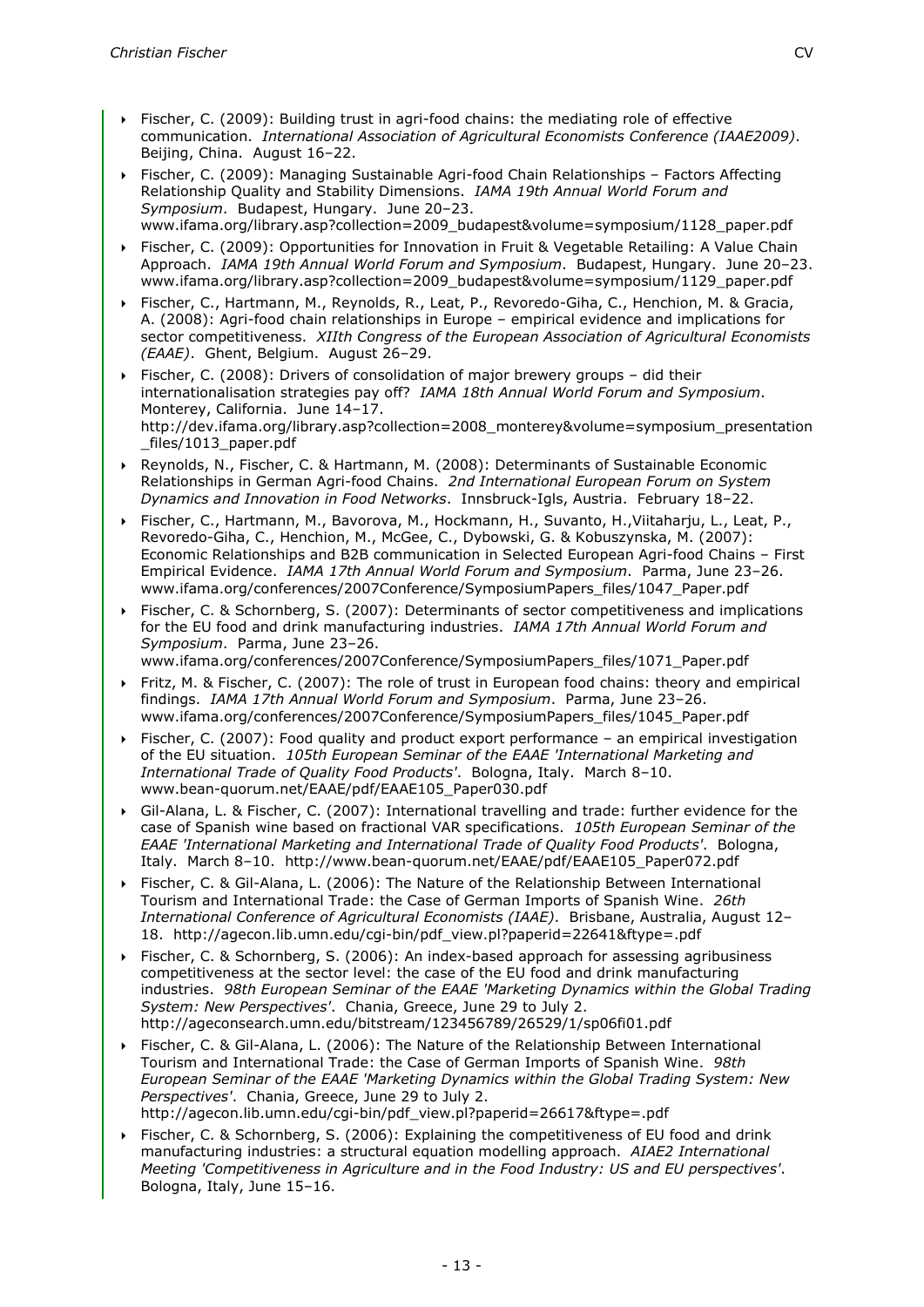- Fischer, C. (2009): Building trust in agri-food chains: the mediating role of effective communication. *International Association of Agricultural Economists Conference (IAAE2009)*. Beijing, China. August 16–22.
- Fischer, C. (2009): Managing Sustainable Agri-food Chain Relationships Factors Affecting Relationship Quality and Stability Dimensions. *IAMA 19th Annual World Forum and Symposium*. Budapest, Hungary. June 20–23. www.ifama.org/library.asp?collection=2009\_budapest&volume=symposium/1128\_paper.pdf
- Fischer, C. (2009): Opportunities for Innovation in Fruit & Vegetable Retailing: A Value Chain Approach. *IAMA 19th Annual World Forum and Symposium*. Budapest, Hungary. June 20–23. www.ifama.org/library.asp?collection=2009\_budapest&volume=symposium/1129\_paper.pdf
- Fischer, C., Hartmann, M., Reynolds, R., Leat, P., Revoredo-Giha, C., Henchion, M. & Gracia, A. (2008): Agri-food chain relationships in Europe – empirical evidence and implications for sector competitiveness. *XIIth Congress of the European Association of Agricultural Economists (EAAE)*. Ghent, Belgium. August 26–29.
- Fischer, C. (2008): Drivers of consolidation of major brewery groups did their internationalisation strategies pay off? *IAMA 18th Annual World Forum and Symposium*. Monterey, California. June 14–17. http://dev.ifama.org/library.asp?collection=2008\_monterey&volume=symposium\_presentation \_files/1013\_paper.pdf
- Reynolds, N., Fischer, C. & Hartmann, M. (2008): Determinants of Sustainable Economic Relationships in German Agri-food Chains. *2nd International European Forum on System Dynamics and Innovation in Food Networks*. Innsbruck-Igls, Austria. February 18–22.
- Fischer, C., Hartmann, M., Bavorova, M., Hockmann, H., Suvanto, H.,Viitaharju, L., Leat, P., Revoredo-Giha, C., Henchion, M., McGee, C., Dybowski, G. & Kobuszynska, M. (2007): Economic Relationships and B2B communication in Selected European Agri-food Chains – First Empirical Evidence. *IAMA 17th Annual World Forum and Symposium*. Parma, June 23–26. www.ifama.org/conferences/2007Conference/SymposiumPapers\_files/1047\_Paper.pdf
- Fischer, C. & Schornberg, S. (2007): Determinants of sector competitiveness and implications for the EU food and drink manufacturing industries. *IAMA 17th Annual World Forum and Symposium*. Parma, June 23–26. www.ifama.org/conferences/2007Conference/SymposiumPapers\_files/1071\_Paper.pdf
- Fritz, M. & Fischer, C. (2007): The role of trust in European food chains: theory and empirical findings. *IAMA 17th Annual World Forum and Symposium*. Parma, June 23–26. www.ifama.org/conferences/2007Conference/SymposiumPapers\_files/1045\_Paper.pdf
- Fischer, C. (2007): Food quality and product export performance an empirical investigation of the EU situation. *105th European Seminar of the EAAE 'International Marketing and International Trade of Quality Food Products'*. Bologna, Italy. March 8–10. www.bean-quorum.net/EAAE/pdf/EAAE105\_Paper030.pdf
- Gil-Alana, L. & Fischer, C. (2007): International travelling and trade: further evidence for the case of Spanish wine based on fractional VAR specifications. *105th European Seminar of the EAAE 'International Marketing and International Trade of Quality Food Products'*. Bologna, Italy. March 8–10. http://www.bean-quorum.net/EAAE/pdf/EAAE105\_Paper072.pdf
- Fischer, C. & Gil-Alana, L. (2006): The Nature of the Relationship Between International Tourism and International Trade: the Case of German Imports of Spanish Wine. *26th International Conference of Agricultural Economists (IAAE)*. Brisbane, Australia, August 12– 18. http://agecon.lib.umn.edu/cgi-bin/pdf\_view.pl?paperid=22641&ftype=.pdf
- Fischer, C. & Schornberg, S. (2006): An index-based approach for assessing agribusiness competitiveness at the sector level: the case of the EU food and drink manufacturing industries. *98th European Seminar of the EAAE 'Marketing Dynamics within the Global Trading System: New Perspectives'*. Chania, Greece, June 29 to July 2. http://ageconsearch.umn.edu/bitstream/123456789/26529/1/sp06fi01.pdf
- Fischer, C. & Gil-Alana, L. (2006): The Nature of the Relationship Between International Tourism and International Trade: the Case of German Imports of Spanish Wine. *98th European Seminar of the EAAE 'Marketing Dynamics within the Global Trading System: New Perspectives'*. Chania, Greece, June 29 to July 2. http://agecon.lib.umn.edu/cgi-bin/pdf\_view.pl?paperid=26617&ftype=.pdf
- Fischer, C. & Schornberg, S. (2006): Explaining the competitiveness of EU food and drink manufacturing industries: a structural equation modelling approach. *AIAE2 International Meeting 'Competitiveness in Agriculture and in the Food Industry: US and EU perspectives'*. Bologna, Italy, June 15–16.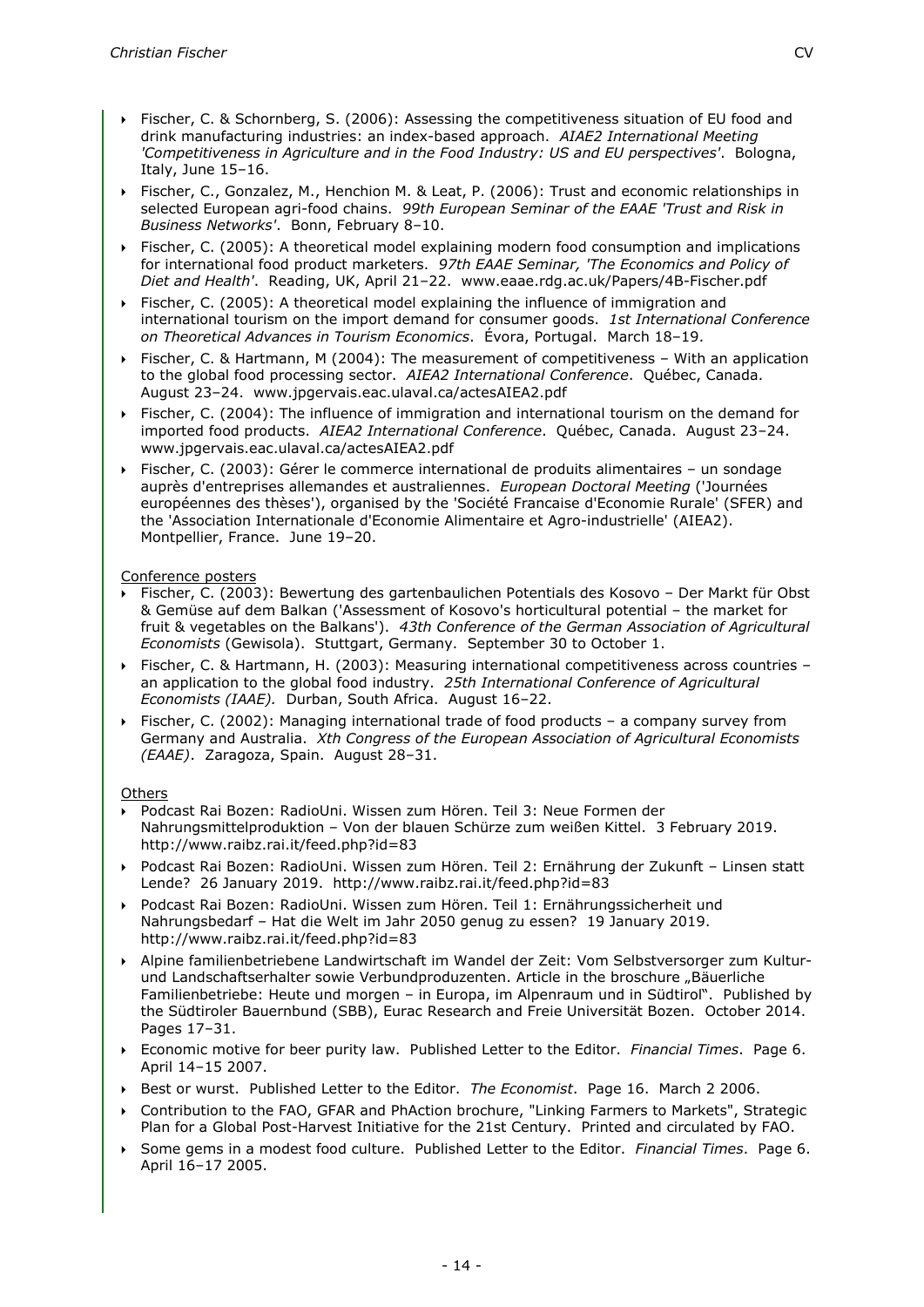- Fischer, C. & Schornberg, S. (2006): Assessing the competitiveness situation of EU food and drink manufacturing industries: an index-based approach. *AIAE2 International Meeting 'Competitiveness in Agriculture and in the Food Industry: US and EU perspectives'*. Bologna, Italy, June 15–16.
- Fischer, C., Gonzalez, M., Henchion M. & Leat, P. (2006): Trust and economic relationships in selected European agri-food chains. *99th European Seminar of the EAAE 'Trust and Risk in Business Networks'*. Bonn, February 8–10.
- Fischer, C. (2005): A theoretical model explaining modern food consumption and implications for international food product marketers. *97th EAAE Seminar, 'The Economics and Policy of Diet and Health'*. Reading, UK, April 21–22. www.eaae.rdg.ac.uk/Papers/4B-Fischer.pdf
- Fischer, C. (2005): A theoretical model explaining the influence of immigration and international tourism on the import demand for consumer goods. *1st International Conference on Theoretical Advances in Tourism Economics*. Évora, Portugal. March 18–19.
- Fischer, C. & Hartmann, M (2004): The measurement of competitiveness With an application to the global food processing sector. *AIEA2 International Conference*. Québec, Canada. August 23–24. www.jpgervais.eac.ulaval.ca/actesAIEA2.pdf
- Fischer, C. (2004): The influence of immigration and international tourism on the demand for imported food products. *AIEA2 International Conference*. Québec, Canada. August 23–24. www.jpgervais.eac.ulaval.ca/actesAIEA2.pdf
- Fischer, C. (2003): Gérer le commerce international de produits alimentaires un sondage auprès d'entreprises allemandes et australiennes. *European Doctoral Meeting* ('Journées européennes des thèses'), organised by the 'Société Francaise d'Economie Rurale' (SFER) and the 'Association Internationale d'Economie Alimentaire et Agro-industrielle' (AIEA2). Montpellier, France. June 19–20.

## Conference posters

- Fischer, C. (2003): Bewertung des gartenbaulichen Potentials des Kosovo Der Markt für Obst & Gemüse auf dem Balkan ('Assessment of Kosovo's horticultural potential – the market for fruit & vegetables on the Balkans'). *43th Conference of the German Association of Agricultural Economists* (Gewisola). Stuttgart, Germany. September 30 to October 1.
- Fischer, C. & Hartmann, H. (2003): Measuring international competitiveness across countries an application to the global food industry. *25th International Conference of Agricultural Economists (IAAE).* Durban, South Africa. August 16–22.
- Fischer, C. (2002): Managing international trade of food products a company survey from Germany and Australia. *Xth Congress of the European Association of Agricultural Economists (EAAE)*. Zaragoza, Spain. August 28–31.

## **Others**

- Podcast Rai Bozen: RadioUni. Wissen zum Hören. Teil 3: Neue Formen der Nahrungsmittelproduktion – Von der blauen Schürze zum weißen Kittel. 3 February 2019. http://www.raibz.rai.it/feed.php?id=83
- Podcast Rai Bozen: RadioUni. Wissen zum Hören. Teil 2: Ernährung der Zukunft Linsen statt Lende? 26 January 2019. http://www.raibz.rai.it/feed.php?id=83
- Podcast Rai Bozen: RadioUni. Wissen zum Hören. Teil 1: Ernährungssicherheit und Nahrungsbedarf – Hat die Welt im Jahr 2050 genug zu essen? 19 January 2019. http://www.raibz.rai.it/feed.php?id=83
- Alpine familienbetriebene Landwirtschaft im Wandel der Zeit: Vom Selbstversorger zum Kulturund Landschaftserhalter sowie Verbundproduzenten. Article in the broschure "Bäuerliche Familienbetriebe: Heute und morgen – in Europa, im Alpenraum und in Südtirol". Published by the Südtiroler Bauernbund (SBB), Eurac Research and Freie Universität Bozen. October 2014. Pages 17–31.
- Economic motive for beer purity law. Published Letter to the Editor. *Financial Times*. Page 6. April 14–15 2007.
- Best or wurst. Published Letter to the Editor. *The Economist*. Page 16. March 2 2006.
- Contribution to the FAO, GFAR and PhAction brochure, "Linking Farmers to Markets", Strategic Plan for a Global Post-Harvest Initiative for the 21st Century. Printed and circulated by FAO.
- Some gems in a modest food culture. Published Letter to the Editor. *Financial Times*. Page 6. April 16–17 2005.